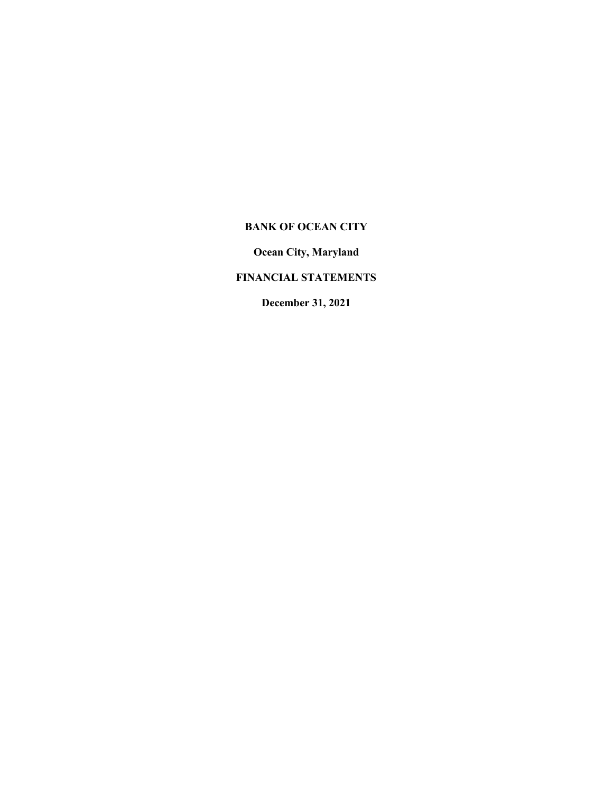# **Ocean City, Maryland**

# **FINANCIAL STATEMENTS**

**December 31, 2021**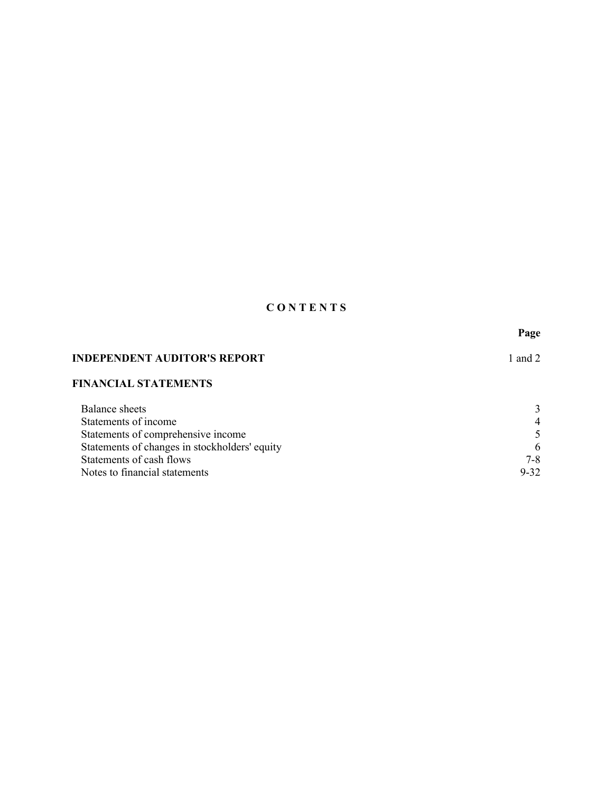# **C O N T E N T S**

**Page**

| INDEPENDENT AUDITOR'S REPORT | 1 and 2 |
|------------------------------|---------|
| FINANCIAL STATEMENTS         |         |
| Balance sheets               |         |
| Stotomants of income         |         |

| Statements of income                          |          |
|-----------------------------------------------|----------|
| Statements of comprehensive income            |          |
| Statements of changes in stockholders' equity | 6        |
| Statements of cash flows                      | $7 - 8$  |
| Notes to financial statements                 | $9 - 32$ |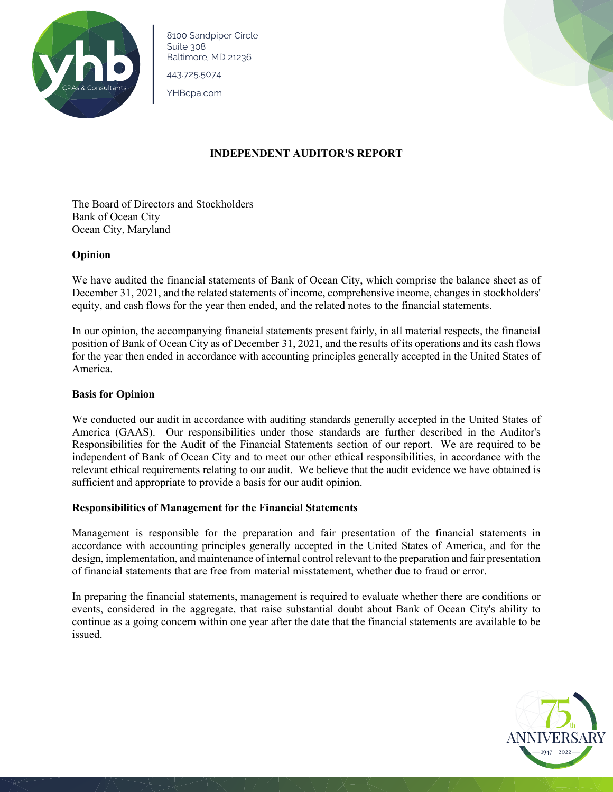

443.725.5074 8100 Sandpiper Circle Suite 308 Baltimore, MD 21236

YHBcpa.com



# **INDEPENDENT AUDITOR'S REPORT**

The Board of Directors and Stockholders Bank of Ocean City Ocean City, Maryland

## **Opinion**

We have audited the financial statements of Bank of Ocean City, which comprise the balance sheet as of December 31, 2021, and the related statements of income, comprehensive income, changes in stockholders' equity, and cash flows for the year then ended, and the related notes to the financial statements.

In our opinion, the accompanying financial statements present fairly, in all material respects, the financial position of Bank of Ocean City as of December 31, 2021, and the results of its operations and its cash flows for the year then ended in accordance with accounting principles generally accepted in the United States of America.

### **Basis for Opinion**

We conducted our audit in accordance with auditing standards generally accepted in the United States of America (GAAS). Our responsibilities under those standards are further described in the Auditor's Responsibilities for the Audit of the Financial Statements section of our report. We are required to be independent of Bank of Ocean City and to meet our other ethical responsibilities, in accordance with the relevant ethical requirements relating to our audit. We believe that the audit evidence we have obtained is sufficient and appropriate to provide a basis for our audit opinion.

## **Responsibilities of Management for the Financial Statements**

Management is responsible for the preparation and fair presentation of the financial statements in accordance with accounting principles generally accepted in the United States of America, and for the design, implementation, and maintenance of internal control relevant to the preparation and fair presentation of financial statements that are free from material misstatement, whether due to fraud or error.

In preparing the financial statements, management is required to evaluate whether there are conditions or events, considered in the aggregate, that raise substantial doubt about Bank of Ocean City's ability to continue as a going concern within one year after the date that the financial statements are available to be issued.

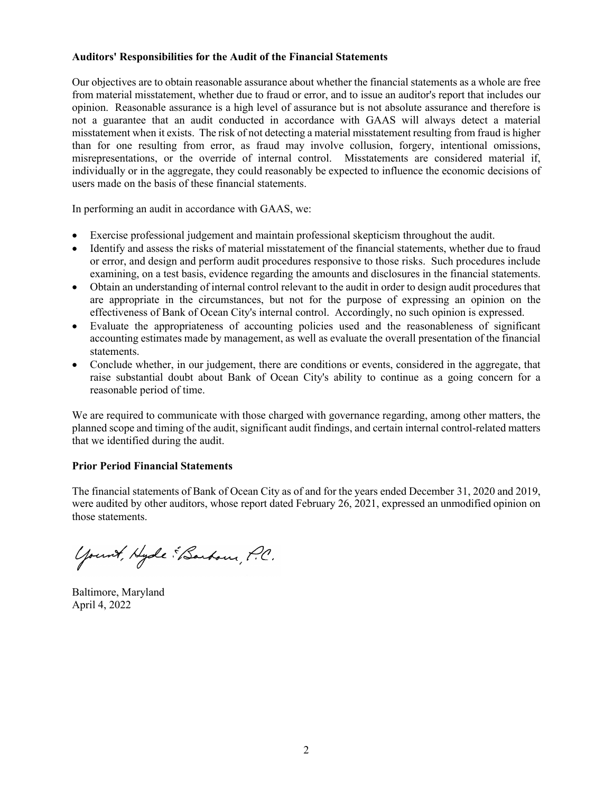## **Auditors' Responsibilities for the Audit of the Financial Statements**

Our objectives are to obtain reasonable assurance about whether the financial statements as a whole are free from material misstatement, whether due to fraud or error, and to issue an auditor's report that includes our opinion. Reasonable assurance is a high level of assurance but is not absolute assurance and therefore is not a guarantee that an audit conducted in accordance with GAAS will always detect a material misstatement when it exists. The risk of not detecting a material misstatement resulting from fraud is higher than for one resulting from error, as fraud may involve collusion, forgery, intentional omissions, misrepresentations, or the override of internal control. Misstatements are considered material if, individually or in the aggregate, they could reasonably be expected to influence the economic decisions of users made on the basis of these financial statements.

In performing an audit in accordance with GAAS, we:

- Exercise professional judgement and maintain professional skepticism throughout the audit.
- Identify and assess the risks of material misstatement of the financial statements, whether due to fraud or error, and design and perform audit procedures responsive to those risks. Such procedures include examining, on a test basis, evidence regarding the amounts and disclosures in the financial statements.
- Obtain an understanding of internal control relevant to the audit in order to design audit procedures that are appropriate in the circumstances, but not for the purpose of expressing an opinion on the effectiveness of Bank of Ocean City's internal control. Accordingly, no such opinion is expressed.
- Evaluate the appropriateness of accounting policies used and the reasonableness of significant accounting estimates made by management, as well as evaluate the overall presentation of the financial statements.
- Conclude whether, in our judgement, there are conditions or events, considered in the aggregate, that raise substantial doubt about Bank of Ocean City's ability to continue as a going concern for a reasonable period of time.

We are required to communicate with those charged with governance regarding, among other matters, the planned scope and timing of the audit, significant audit findings, and certain internal control-related matters that we identified during the audit.

#### **Prior Period Financial Statements**

The financial statements of Bank of Ocean City as of and for the years ended December 31, 2020 and 2019, were audited by other auditors, whose report dated February 26, 2021, expressed an unmodified opinion on those statements.

Yount, Hyde EBarbour, P.C.

Baltimore, Maryland April 4, 2022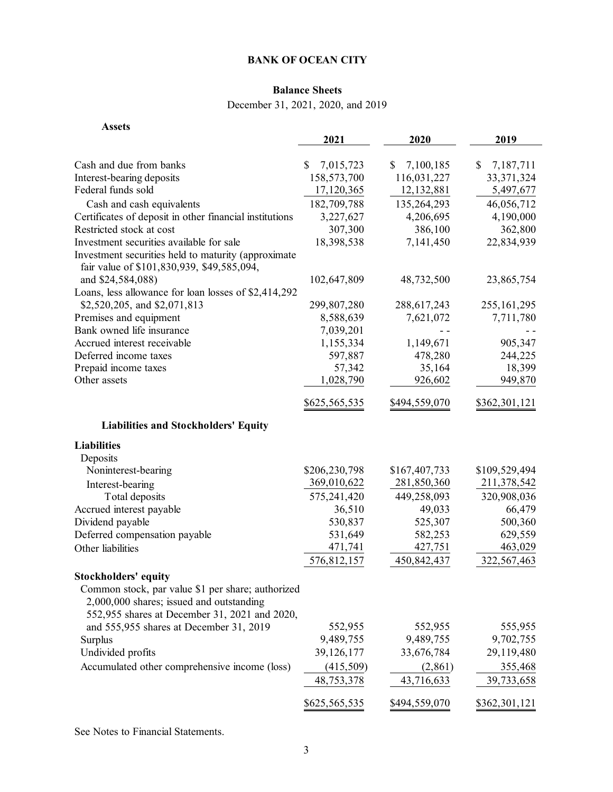# **Balance Sheets**

December 31, 2021, 2020, and 2019

| <b>Assets</b>                                                                                                                                  |                 |                 |                 |
|------------------------------------------------------------------------------------------------------------------------------------------------|-----------------|-----------------|-----------------|
|                                                                                                                                                | 2021            | 2020            | 2019            |
| Cash and due from banks                                                                                                                        | 7,015,723<br>S. | 7,100,185<br>\$ | 7,187,711<br>\$ |
| Interest-bearing deposits                                                                                                                      | 158,573,700     | 116,031,227     | 33, 371, 324    |
| Federal funds sold                                                                                                                             | 17,120,365      | 12,132,881      | 5,497,677       |
| Cash and cash equivalents                                                                                                                      | 182,709,788     | 135,264,293     | 46,056,712      |
| Certificates of deposit in other financial institutions                                                                                        | 3,227,627       | 4,206,695       | 4,190,000       |
| Restricted stock at cost                                                                                                                       | 307,300         | 386,100         | 362,800         |
| Investment securities available for sale                                                                                                       | 18,398,538      | 7,141,450       | 22,834,939      |
| Investment securities held to maturity (approximate<br>fair value of \$101,830,939, \$49,585,094,                                              |                 |                 |                 |
| and \$24,584,088)                                                                                                                              | 102,647,809     | 48,732,500      | 23,865,754      |
| Loans, less allowance for loan losses of \$2,414,292                                                                                           |                 |                 |                 |
| \$2,520,205, and \$2,071,813                                                                                                                   | 299,807,280     | 288,617,243     | 255, 161, 295   |
| Premises and equipment                                                                                                                         | 8,588,639       | 7,621,072       | 7,711,780       |
| Bank owned life insurance                                                                                                                      | 7,039,201       |                 |                 |
| Accrued interest receivable                                                                                                                    | 1,155,334       | 1,149,671       | 905,347         |
| Deferred income taxes                                                                                                                          | 597,887         | 478,280         | 244,225         |
| Prepaid income taxes                                                                                                                           | 57,342          | 35,164          | 18,399          |
| Other assets                                                                                                                                   | 1,028,790       | 926,602         | 949,870         |
|                                                                                                                                                | \$625,565,535   | \$494,559,070   | \$362,301,121   |
| <b>Liabilities and Stockholders' Equity</b>                                                                                                    |                 |                 |                 |
| <b>Liabilities</b>                                                                                                                             |                 |                 |                 |
| Deposits                                                                                                                                       |                 |                 |                 |
| Noninterest-bearing                                                                                                                            | \$206,230,798   | \$167,407,733   | \$109,529,494   |
| Interest-bearing                                                                                                                               | 369,010,622     | 281,850,360     | 211,378,542     |
| Total deposits                                                                                                                                 | 575,241,420     | 449,258,093     | 320,908,036     |
| Accrued interest payable                                                                                                                       | 36,510          | 49,033          | 66,479          |
| Dividend payable                                                                                                                               | 530,837         | 525,307         | 500,360         |
| Deferred compensation payable                                                                                                                  | 531,649         | 582,253         | 629,559         |
| Other liabilities                                                                                                                              | 471,741         | 427,751         | 463,029         |
|                                                                                                                                                | 576,812,157     | 450,842,437     | 322, 567, 463   |
| Stockholders' equity                                                                                                                           |                 |                 |                 |
| Common stock, par value \$1 per share; authorized<br>2,000,000 shares; issued and outstanding<br>552,955 shares at December 31, 2021 and 2020, |                 |                 |                 |
| and 555,955 shares at December 31, 2019                                                                                                        | 552,955         | 552,955         | 555,955         |
| Surplus                                                                                                                                        | 9,489,755       | 9,489,755       | 9,702,755       |
| Undivided profits                                                                                                                              | 39,126,177      | 33,676,784      | 29,119,480      |
| Accumulated other comprehensive income (loss)                                                                                                  | (415,509)       | (2,861)         | 355,468         |
|                                                                                                                                                | 48,753,378      | 43,716,633      | 39,733,658      |
|                                                                                                                                                |                 |                 |                 |
|                                                                                                                                                | \$625,565,535   | \$494,559,070   | \$362,301,121   |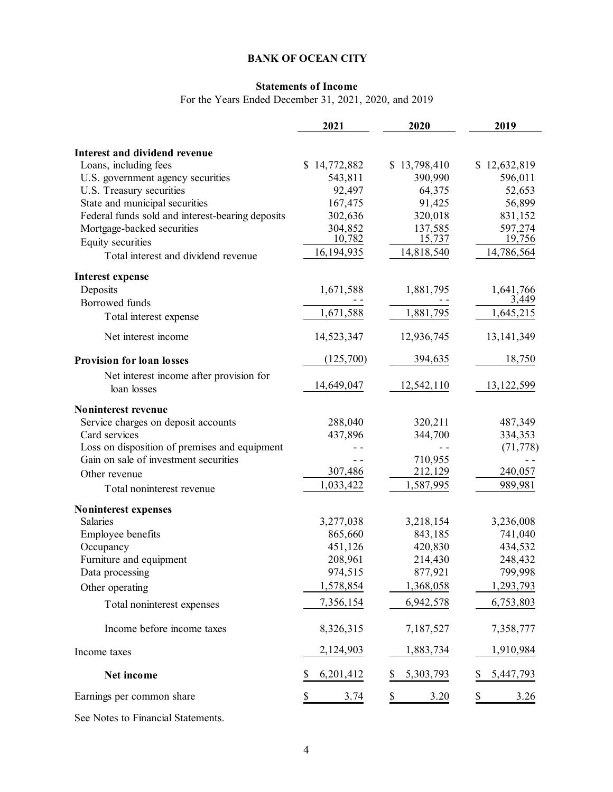## **Statements of Income**

For the Years Ended December 31, 2021, 2020, and 2019

|                                                  | 2021            | 2020            | 2019            |
|--------------------------------------------------|-----------------|-----------------|-----------------|
| Interest and dividend revenue                    |                 |                 |                 |
| Loans, including fees                            | \$14,772,882    | \$13,798,410    | \$12,632,819    |
| U.S. government agency securities                | 543,811         | 390,990         | 596,011         |
| U.S. Treasury securities                         | 92,497          | 64,375          | 52,653          |
| State and municipal securities                   | 167,475         | 91,425          | 56,899          |
| Federal funds sold and interest-bearing deposits | 302,636         | 320,018         | 831,152         |
| Mortgage-backed securities                       | 304,852         | 137,585         | 597,274         |
| Equity securities                                | 10,782          | 15,737          | 19,756          |
| Total interest and dividend revenue              | 16, 194, 935    | 14,818,540      | 14,786,564      |
| <b>Interest expense</b>                          |                 |                 |                 |
| Deposits                                         | 1,671,588       | 1,881,795       | 1,641,766       |
| Borrowed funds                                   |                 |                 | 3,449           |
| Total interest expense                           | 1,671,588       | 1,881,795       | 1,645,215       |
| Net interest income                              | 14,523,347      | 12,936,745      | 13, 141, 349    |
| <b>Provision for loan losses</b>                 | (125,700)       | 394,635         | 18,750          |
| Net interest income after provision for          |                 |                 |                 |
| loan losses                                      | 14,649,047      | 12,542,110      | 13,122,599      |
| Noninterest revenue                              |                 |                 |                 |
| Service charges on deposit accounts              | 288,040         | 320,211         | 487,349         |
| Card services                                    | 437,896         | 344,700         | 334,353         |
| Loss on disposition of premises and equipment    |                 |                 | (71, 778)       |
| Gain on sale of investment securities            |                 | 710,955         |                 |
| Other revenue                                    | 307,486         | 212,129         | 240,057         |
| Total noninterest revenue                        | 1,033,422       | 1,587,995       | 989,981         |
| <b>Noninterest expenses</b>                      |                 |                 |                 |
| Salaries                                         | 3,277,038       | 3,218,154       | 3,236,008       |
| Employee benefits                                | 865,660         | 843,185         | 741,040         |
| Occupancy                                        | 451,126         | 420,830         | 434,532         |
| Furniture and equipment                          | 208,961         | 214,430         | 248,432         |
| Data processing                                  | 974,515         | 877,921         | 799,998         |
| Other operating                                  | 1,578,854       | 1,368,058       | 1,293,793       |
| Total noninterest expenses                       | 7,356,154       | 6,942,578       | 6,753,803       |
| Income before income taxes                       | 8,326,315       | 7,187,527       | 7,358,777       |
| Income taxes                                     | 2,124,903       | 1,883,734       | 1,910,984       |
| Net income                                       | 6,201,412<br>\$ | 5,303,793<br>\$ | 5,447,793<br>\$ |
| Earnings per common share                        | \$<br>3.74      | \$<br>3.20      | \$<br>3.26      |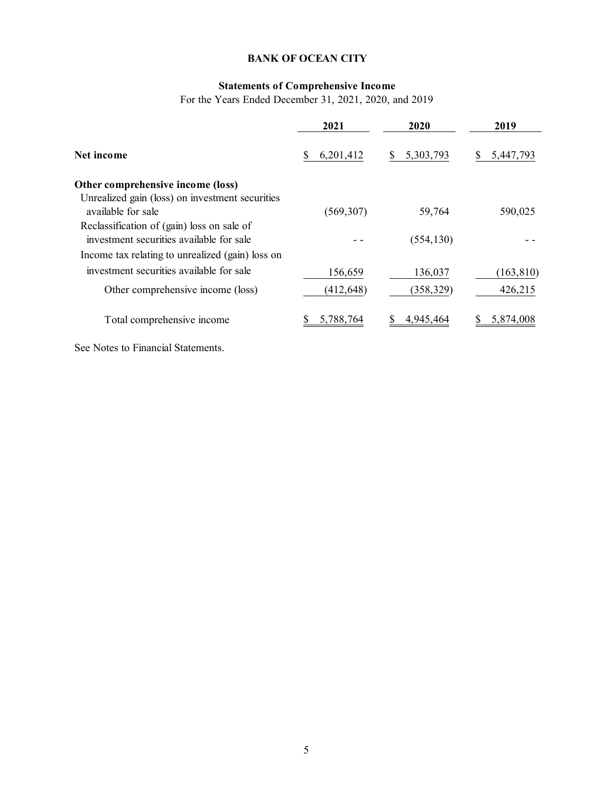## **Statements of Comprehensive Income**

For the Years Ended December 31, 2021, 2020, and 2019

|                                                                       | 2021       | 2020       | 2019       |  |
|-----------------------------------------------------------------------|------------|------------|------------|--|
| Net income                                                            | 6,201,412  | 5,303,793  | 5,447,793  |  |
| Other comprehensive income (loss)                                     |            |            |            |  |
| Unrealized gain (loss) on investment securities<br>available for sale | (569, 307) | 59,764     | 590,025    |  |
| Reclassification of (gain) loss on sale of                            |            |            |            |  |
| investment securities available for sale                              |            | (554, 130) |            |  |
| Income tax relating to unrealized (gain) loss on                      |            |            |            |  |
| investment securities available for sale                              | 156,659    | 136,037    | (163, 810) |  |
| Other comprehensive income (loss)                                     | (412, 648) | (358, 329) | 426,215    |  |
| Total comprehensive income                                            | 5,788,764  | 4,945,464  | 5,874,008  |  |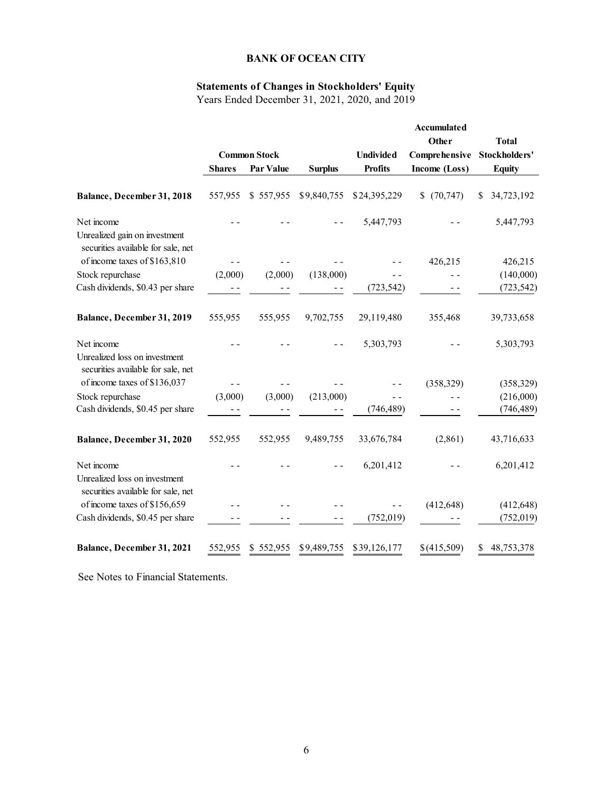# **Statements of Changes in Stockholders' Equity**

Years Ended December 31, 2021, 2020, and 2019

|                                                                                   |               |                     |                |                  | Accumulated     |                             |
|-----------------------------------------------------------------------------------|---------------|---------------------|----------------|------------------|-----------------|-----------------------------|
|                                                                                   |               |                     |                |                  | Other           | <b>Total</b>                |
|                                                                                   |               | <b>Common Stock</b> |                | <b>Undivided</b> | Comprehensive   | Stockholders'               |
|                                                                                   | <b>Shares</b> | Par Value           | <b>Surplus</b> | <b>Profits</b>   | Income (Loss)   | <b>Equity</b>               |
| Balance, December 31, 2018                                                        | 557,955       | \$557,955           | \$9,840,755    | \$24,395,229     | (70, 747)<br>\$ | 34,723,192<br><sup>\$</sup> |
| Net income<br>Unrealized gain on investment<br>securities available for sale, net |               |                     |                | 5,447,793        |                 | 5,447,793                   |
| of income taxes of \$163,810                                                      |               |                     |                |                  | 426,215         | 426,215                     |
| Stock repurchase                                                                  | (2,000)       | (2,000)             | (138,000)      |                  |                 | (140,000)                   |
| Cash dividends, \$0.43 per share                                                  |               |                     |                | (723, 542)       |                 | (723, 542)                  |
| Balance, December 31, 2019                                                        | 555,955       | 555,955             | 9,702,755      | 29,119,480       | 355,468         | 39,733,658                  |
| Net income                                                                        |               |                     |                | 5,303,793        |                 | 5,303,793                   |
| Unrealized loss on investment<br>securities available for sale, net               |               |                     |                |                  |                 |                             |
| of income taxes of \$136,037                                                      |               |                     |                |                  | (358, 329)      | (358, 329)                  |
| Stock repurchase                                                                  | (3,000)       | (3,000)             | (213,000)      |                  |                 | (216,000)                   |
| Cash dividends, \$0.45 per share                                                  |               |                     |                | (746, 489)       |                 | (746, 489)                  |
| Balance, December 31, 2020                                                        | 552,955       | 552,955             | 9,489,755      | 33,676,784       | (2,861)         | 43,716,633                  |
| Net income                                                                        |               |                     |                | 6,201,412        |                 | 6,201,412                   |
| Unrealized loss on investment<br>securities available for sale, net               |               |                     |                |                  |                 |                             |
| of income taxes of \$156,659                                                      |               |                     |                |                  | (412, 648)      | (412, 648)                  |
| Cash dividends, \$0.45 per share                                                  |               |                     |                | (752, 019)       |                 | (752, 019)                  |
| Balance, December 31, 2021                                                        | 552,955       | \$552,955           | \$9,489,755    | \$39,126,177     | \$(415,509)     | 48,753,378<br>S             |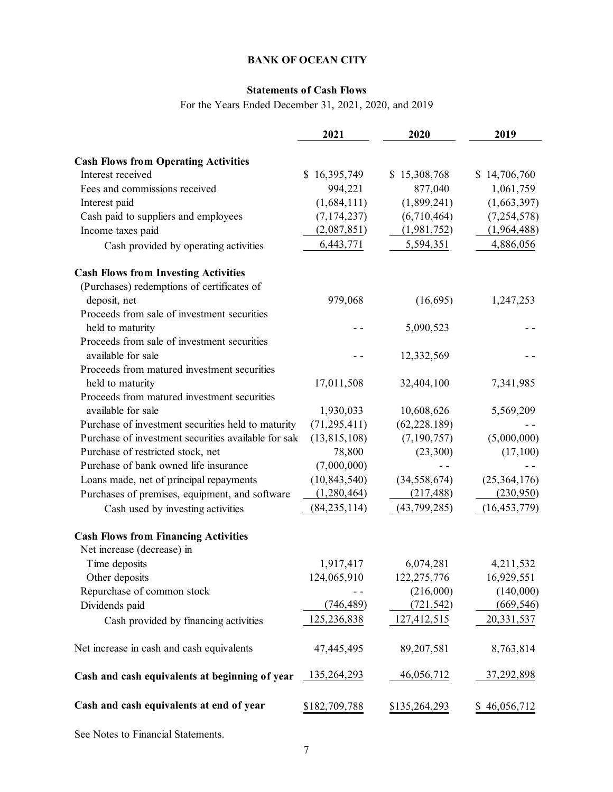# **Statements of Cash Flows**

For the Years Ended December 31, 2021, 2020, and 2019

|                                                      | 2021             | 2020           | 2019           |
|------------------------------------------------------|------------------|----------------|----------------|
| <b>Cash Flows from Operating Activities</b>          |                  |                |                |
| Interest received                                    | 16,395,749<br>\$ | \$15,308,768   | \$14,706,760   |
| Fees and commissions received                        | 994,221          | 877,040        | 1,061,759      |
| Interest paid                                        | (1,684,111)      | (1,899,241)    | (1,663,397)    |
| Cash paid to suppliers and employees                 | (7, 174, 237)    | (6,710,464)    | (7, 254, 578)  |
| Income taxes paid                                    | (2,087,851)      | (1,981,752)    | (1,964,488)    |
|                                                      | 6,443,771        | 5,594,351      | 4,886,056      |
| Cash provided by operating activities                |                  |                |                |
| <b>Cash Flows from Investing Activities</b>          |                  |                |                |
| (Purchases) redemptions of certificates of           |                  |                |                |
| deposit, net                                         | 979,068          | (16, 695)      | 1,247,253      |
| Proceeds from sale of investment securities          |                  |                |                |
| held to maturity                                     |                  | 5,090,523      |                |
| Proceeds from sale of investment securities          |                  |                |                |
| available for sale                                   |                  | 12,332,569     |                |
| Proceeds from matured investment securities          |                  |                |                |
| held to maturity                                     | 17,011,508       | 32,404,100     | 7,341,985      |
| Proceeds from matured investment securities          |                  |                |                |
| available for sale                                   | 1,930,033        | 10,608,626     | 5,569,209      |
| Purchase of investment securities held to maturity   | (71, 295, 411)   | (62, 228, 189) |                |
| Purchase of investment securities available for sale | (13, 815, 108)   | (7, 190, 757)  | (5,000,000)    |
| Purchase of restricted stock, net                    | 78,800           | (23,300)       | (17,100)       |
| Purchase of bank owned life insurance                | (7,000,000)      |                |                |
| Loans made, net of principal repayments              | (10, 843, 540)   | (34, 558, 674) | (25,364,176)   |
| Purchases of premises, equipment, and software       | (1,280,464)      | (217, 488)     | (230,950)      |
| Cash used by investing activities                    | (84, 235, 114)   | (43,799,285)   | (16, 453, 779) |
| <b>Cash Flows from Financing Activities</b>          |                  |                |                |
| Net increase (decrease) in                           |                  |                |                |
| Time deposits                                        | 1,917,417        | 6,074,281      | 4,211,532      |
| Other deposits                                       | 124,065,910      | 122,275,776    | 16,929,551     |
| Repurchase of common stock                           |                  | (216,000)      | (140,000)      |
| Dividends paid                                       | (746, 489)       | (721, 542)     | (669, 546)     |
|                                                      | 125,236,838      | 127,412,515    | 20,331,537     |
| Cash provided by financing activities                |                  |                |                |
| Net increase in cash and cash equivalents            | 47,445,495       | 89,207,581     | 8,763,814      |
| Cash and cash equivalents at beginning of year       | 135,264,293      | 46,056,712     | 37,292,898     |
| Cash and cash equivalents at end of year             | \$182,709,788    | \$135,264,293  | \$46,056,712   |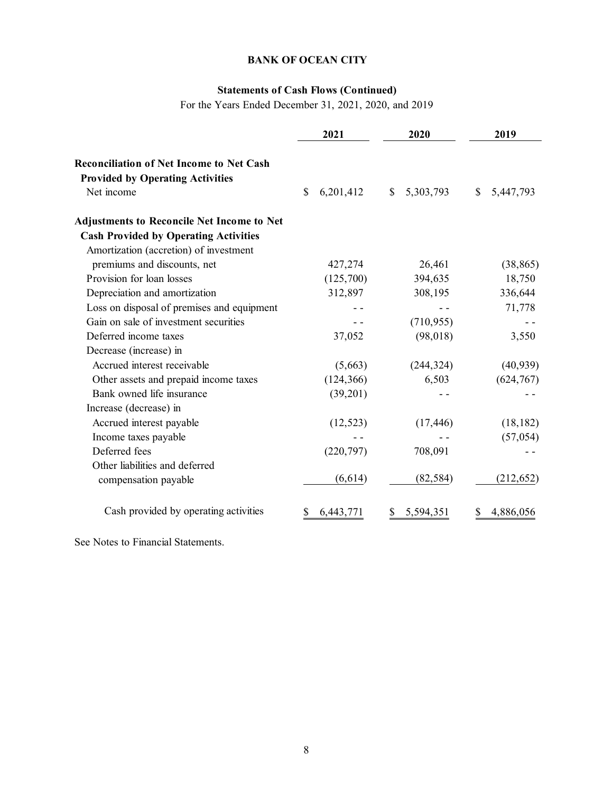# **Statements of Cash Flows (Continued)**

For the Years Ended December 31, 2021, 2020, and 2019

|                                                                                                          | 2021            | 2020                      | 2019            |  |
|----------------------------------------------------------------------------------------------------------|-----------------|---------------------------|-----------------|--|
| <b>Reconciliation of Net Income to Net Cash</b><br><b>Provided by Operating Activities</b><br>Net income | 6,201,412<br>\$ | 5,303,793<br>$\mathbb{S}$ | \$<br>5,447,793 |  |
| <b>Adjustments to Reconcile Net Income to Net</b>                                                        |                 |                           |                 |  |
| <b>Cash Provided by Operating Activities</b>                                                             |                 |                           |                 |  |
| Amortization (accretion) of investment                                                                   |                 |                           |                 |  |
| premiums and discounts, net                                                                              | 427,274         | 26,461                    | (38, 865)       |  |
| Provision for loan losses                                                                                | (125,700)       | 394,635                   | 18,750          |  |
| Depreciation and amortization                                                                            | 312,897         | 308,195                   | 336,644         |  |
| Loss on disposal of premises and equipment                                                               |                 |                           | 71,778          |  |
| Gain on sale of investment securities                                                                    |                 | (710, 955)                |                 |  |
| Deferred income taxes                                                                                    | 37,052          | (98, 018)                 | 3,550           |  |
| Decrease (increase) in                                                                                   |                 |                           |                 |  |
| Accrued interest receivable                                                                              | (5,663)         | (244, 324)                | (40, 939)       |  |
| Other assets and prepaid income taxes                                                                    | (124, 366)      | 6,503                     | (624, 767)      |  |
| Bank owned life insurance                                                                                | (39,201)        |                           |                 |  |
| Increase (decrease) in                                                                                   |                 |                           |                 |  |
| Accrued interest payable                                                                                 | (12, 523)       | (17, 446)                 | (18, 182)       |  |
| Income taxes payable                                                                                     |                 |                           | (57, 054)       |  |
| Deferred fees                                                                                            | (220, 797)      | 708,091                   |                 |  |
| Other liabilities and deferred                                                                           |                 |                           |                 |  |
| compensation payable                                                                                     | (6, 614)        | (82, 584)                 | (212, 652)      |  |
| Cash provided by operating activities                                                                    | 6,443,771<br>S  | 5,594,351<br>S            | 4,886,056<br>S  |  |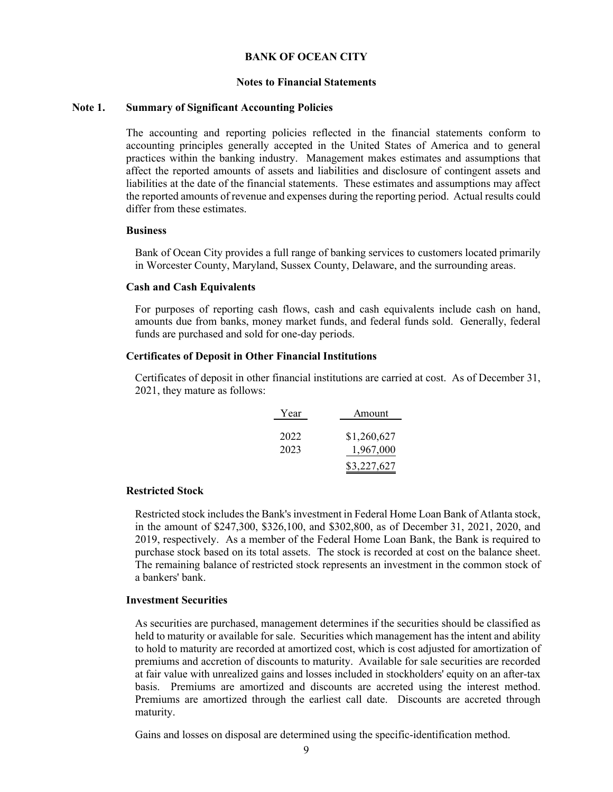#### **Notes to Financial Statements**

#### **Note 1. Summary of Significant Accounting Policies**

The accounting and reporting policies reflected in the financial statements conform to accounting principles generally accepted in the United States of America and to general practices within the banking industry. Management makes estimates and assumptions that affect the reported amounts of assets and liabilities and disclosure of contingent assets and liabilities at the date of the financial statements. These estimates and assumptions may affect the reported amounts of revenue and expenses during the reporting period. Actual results could differ from these estimates.

#### **Business**

Bank of Ocean City provides a full range of banking services to customers located primarily in Worcester County, Maryland, Sussex County, Delaware, and the surrounding areas.

#### **Cash and Cash Equivalents**

For purposes of reporting cash flows, cash and cash equivalents include cash on hand, amounts due from banks, money market funds, and federal funds sold. Generally, federal funds are purchased and sold for one-day periods.

#### **Certificates of Deposit in Other Financial Institutions**

Certificates of deposit in other financial institutions are carried at cost. As of December 31, 2021, they mature as follows:

| Year | Amount      |
|------|-------------|
|      |             |
| 2022 | \$1,260,627 |
| 2023 | 1,967,000   |
|      | \$3,227,627 |

#### **Restricted Stock**

Restricted stock includes the Bank's investment in Federal Home Loan Bank of Atlanta stock, in the amount of \$247,300, \$326,100, and \$302,800, as of December 31, 2021, 2020, and 2019, respectively. As a member of the Federal Home Loan Bank, the Bank is required to purchase stock based on its total assets. The stock is recorded at cost on the balance sheet. The remaining balance of restricted stock represents an investment in the common stock of a bankers' bank.

#### **Investment Securities**

As securities are purchased, management determines if the securities should be classified as held to maturity or available for sale. Securities which management has the intent and ability to hold to maturity are recorded at amortized cost, which is cost adjusted for amortization of premiums and accretion of discounts to maturity. Available for sale securities are recorded at fair value with unrealized gains and losses included in stockholders' equity on an after-tax basis. Premiums are amortized and discounts are accreted using the interest method. Premiums are amortized through the earliest call date. Discounts are accreted through maturity.

Gains and losses on disposal are determined using the specific-identification method.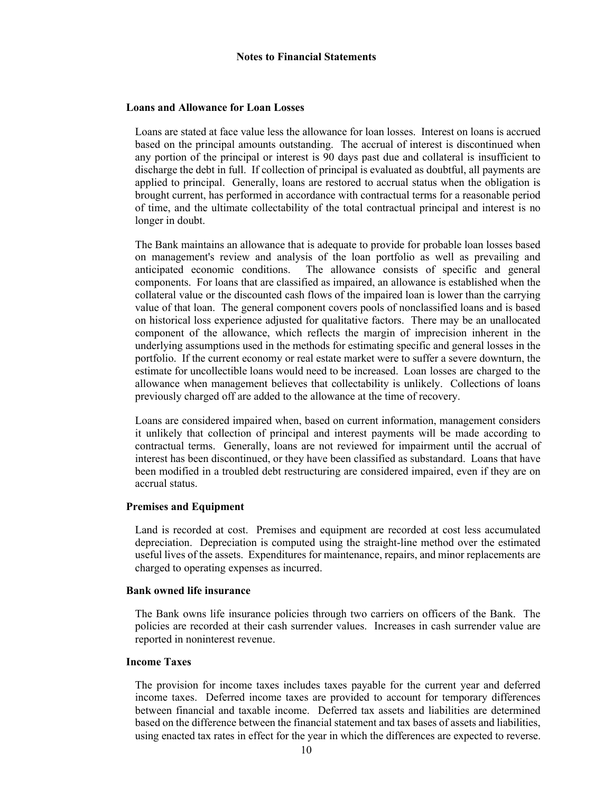#### **Loans and Allowance for Loan Losses**

Loans are stated at face value less the allowance for loan losses. Interest on loans is accrued based on the principal amounts outstanding. The accrual of interest is discontinued when any portion of the principal or interest is 90 days past due and collateral is insufficient to discharge the debt in full. If collection of principal is evaluated as doubtful, all payments are applied to principal. Generally, loans are restored to accrual status when the obligation is brought current, has performed in accordance with contractual terms for a reasonable period of time, and the ultimate collectability of the total contractual principal and interest is no longer in doubt.

The Bank maintains an allowance that is adequate to provide for probable loan losses based on management's review and analysis of the loan portfolio as well as prevailing and anticipated economic conditions. The allowance consists of specific and general components. For loans that are classified as impaired, an allowance is established when the collateral value or the discounted cash flows of the impaired loan is lower than the carrying value of that loan. The general component covers pools of nonclassified loans and is based on historical loss experience adjusted for qualitative factors. There may be an unallocated component of the allowance, which reflects the margin of imprecision inherent in the underlying assumptions used in the methods for estimating specific and general losses in the portfolio. If the current economy or real estate market were to suffer a severe downturn, the estimate for uncollectible loans would need to be increased. Loan losses are charged to the allowance when management believes that collectability is unlikely. Collections of loans previously charged off are added to the allowance at the time of recovery.

Loans are considered impaired when, based on current information, management considers it unlikely that collection of principal and interest payments will be made according to contractual terms. Generally, loans are not reviewed for impairment until the accrual of interest has been discontinued, or they have been classified as substandard. Loans that have been modified in a troubled debt restructuring are considered impaired, even if they are on accrual status.

#### **Premises and Equipment**

Land is recorded at cost. Premises and equipment are recorded at cost less accumulated depreciation. Depreciation is computed using the straight-line method over the estimated useful lives of the assets. Expenditures for maintenance, repairs, and minor replacements are charged to operating expenses as incurred.

### **Bank owned life insurance**

The Bank owns life insurance policies through two carriers on officers of the Bank. The policies are recorded at their cash surrender values. Increases in cash surrender value are reported in noninterest revenue.

#### **Income Taxes**

The provision for income taxes includes taxes payable for the current year and deferred income taxes. Deferred income taxes are provided to account for temporary differences between financial and taxable income. Deferred tax assets and liabilities are determined based on the difference between the financial statement and tax bases of assets and liabilities, using enacted tax rates in effect for the year in which the differences are expected to reverse.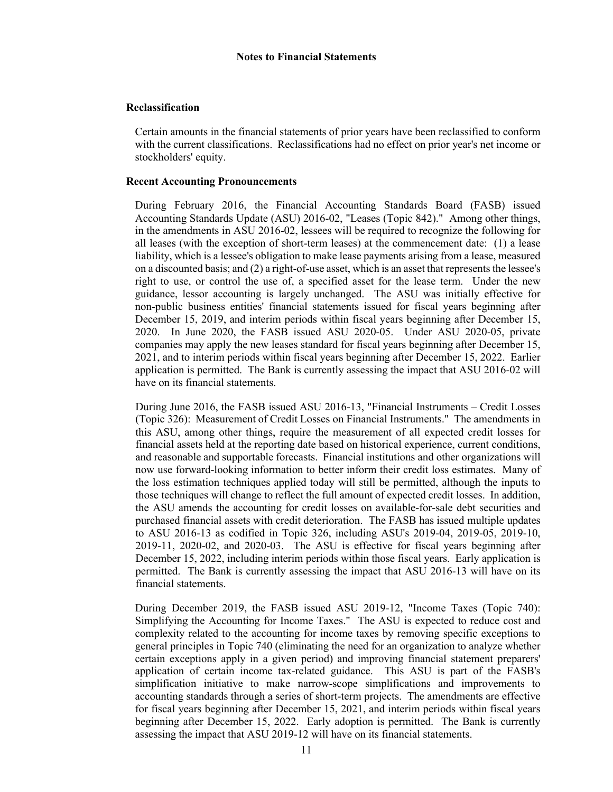## **Reclassification**

Certain amounts in the financial statements of prior years have been reclassified to conform with the current classifications. Reclassifications had no effect on prior year's net income or stockholders' equity.

## **Recent Accounting Pronouncements**

During February 2016, the Financial Accounting Standards Board (FASB) issued Accounting Standards Update (ASU) 2016-02, "Leases (Topic 842)." Among other things, in the amendments in ASU 2016-02, lessees will be required to recognize the following for all leases (with the exception of short-term leases) at the commencement date: (1) a lease liability, which is a lessee's obligation to make lease payments arising from a lease, measured on a discounted basis; and (2) a right-of-use asset, which is an asset that represents the lessee's right to use, or control the use of, a specified asset for the lease term. Under the new guidance, lessor accounting is largely unchanged. The ASU was initially effective for non-public business entities' financial statements issued for fiscal years beginning after December 15, 2019, and interim periods within fiscal years beginning after December 15, 2020. In June 2020, the FASB issued ASU 2020-05. Under ASU 2020-05, private companies may apply the new leases standard for fiscal years beginning after December 15, 2021, and to interim periods within fiscal years beginning after December 15, 2022. Earlier application is permitted. The Bank is currently assessing the impact that ASU 2016-02 will have on its financial statements.

During June 2016, the FASB issued ASU 2016-13, "Financial Instruments – Credit Losses (Topic 326): Measurement of Credit Losses on Financial Instruments." The amendments in this ASU, among other things, require the measurement of all expected credit losses for financial assets held at the reporting date based on historical experience, current conditions, and reasonable and supportable forecasts. Financial institutions and other organizations will now use forward-looking information to better inform their credit loss estimates. Many of the loss estimation techniques applied today will still be permitted, although the inputs to those techniques will change to reflect the full amount of expected credit losses. In addition, the ASU amends the accounting for credit losses on available-for-sale debt securities and purchased financial assets with credit deterioration. The FASB has issued multiple updates to ASU 2016-13 as codified in Topic 326, including ASU's 2019-04, 2019-05, 2019-10, 2019-11, 2020-02, and 2020-03. The ASU is effective for fiscal years beginning after December 15, 2022, including interim periods within those fiscal years. Early application is permitted. The Bank is currently assessing the impact that ASU 2016-13 will have on its financial statements.

During December 2019, the FASB issued ASU 2019-12, "Income Taxes (Topic 740): Simplifying the Accounting for Income Taxes." The ASU is expected to reduce cost and complexity related to the accounting for income taxes by removing specific exceptions to general principles in Topic 740 (eliminating the need for an organization to analyze whether certain exceptions apply in a given period) and improving financial statement preparers' application of certain income tax-related guidance. This ASU is part of the FASB's simplification initiative to make narrow-scope simplifications and improvements to accounting standards through a series of short-term projects. The amendments are effective for fiscal years beginning after December 15, 2021, and interim periods within fiscal years beginning after December 15, 2022. Early adoption is permitted. The Bank is currently assessing the impact that ASU 2019-12 will have on its financial statements.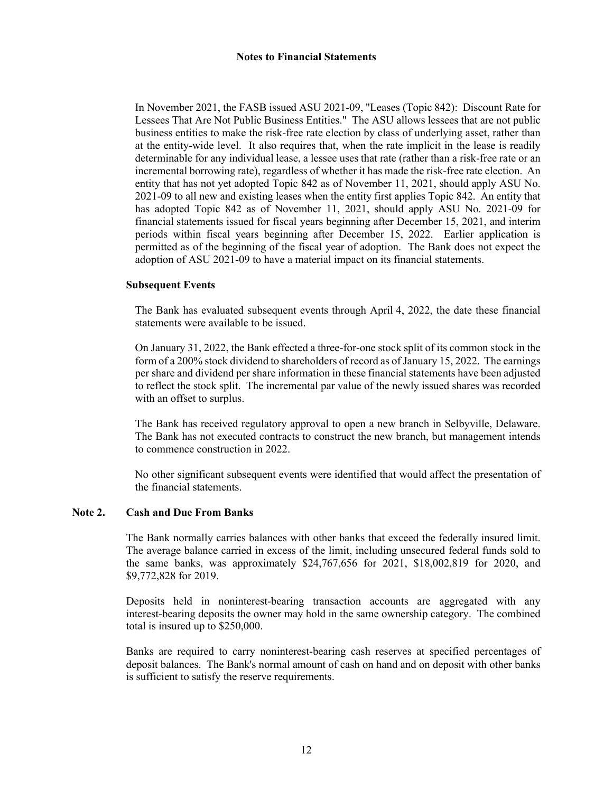In November 2021, the FASB issued ASU 2021-09, "Leases (Topic 842): Discount Rate for Lessees That Are Not Public Business Entities." The ASU allows lessees that are not public business entities to make the risk-free rate election by class of underlying asset, rather than at the entity-wide level. It also requires that, when the rate implicit in the lease is readily determinable for any individual lease, a lessee uses that rate (rather than a risk-free rate or an incremental borrowing rate), regardless of whether it has made the risk-free rate election. An entity that has not yet adopted Topic 842 as of November 11, 2021, should apply ASU No. 2021-09 to all new and existing leases when the entity first applies Topic 842. An entity that has adopted Topic 842 as of November 11, 2021, should apply ASU No. 2021-09 for financial statements issued for fiscal years beginning after December 15, 2021, and interim periods within fiscal years beginning after December 15, 2022. Earlier application is permitted as of the beginning of the fiscal year of adoption. The Bank does not expect the adoption of ASU 2021-09 to have a material impact on its financial statements.

### **Subsequent Events**

The Bank has evaluated subsequent events through April 4, 2022, the date these financial statements were available to be issued.

On January 31, 2022, the Bank effected a three-for-one stock split of its common stock in the form of a 200% stock dividend to shareholders of record as of January 15, 2022. The earnings per share and dividend per share information in these financial statements have been adjusted to reflect the stock split. The incremental par value of the newly issued shares was recorded with an offset to surplus.

The Bank has received regulatory approval to open a new branch in Selbyville, Delaware. The Bank has not executed contracts to construct the new branch, but management intends to commence construction in 2022.

No other significant subsequent events were identified that would affect the presentation of the financial statements.

## **Note 2. Cash and Due From Banks**

The Bank normally carries balances with other banks that exceed the federally insured limit. The average balance carried in excess of the limit, including unsecured federal funds sold to the same banks, was approximately \$24,767,656 for 2021, \$18,002,819 for 2020, and \$9,772,828 for 2019.

Deposits held in noninterest-bearing transaction accounts are aggregated with any interest-bearing deposits the owner may hold in the same ownership category. The combined total is insured up to \$250,000.

Banks are required to carry noninterest-bearing cash reserves at specified percentages of deposit balances. The Bank's normal amount of cash on hand and on deposit with other banks is sufficient to satisfy the reserve requirements.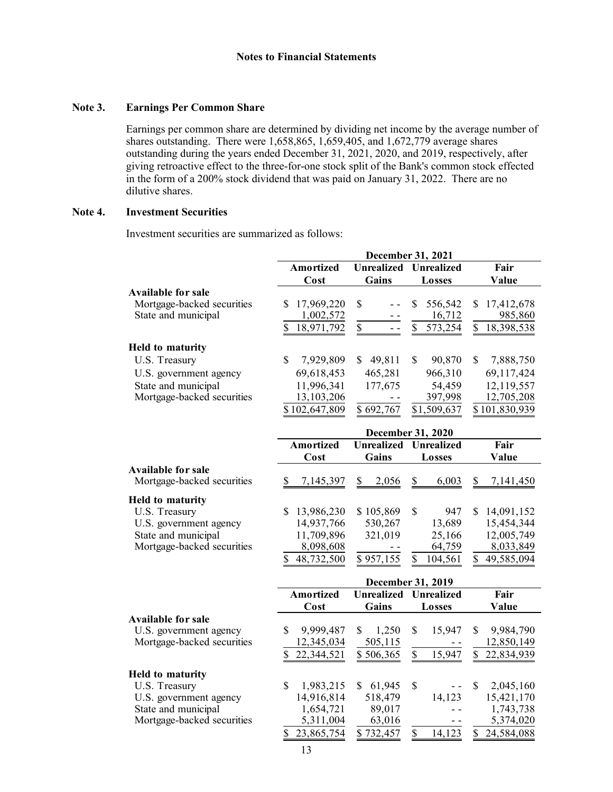## **Note 3. Earnings Per Common Share**

Earnings per common share are determined by dividing net income by the average number of shares outstanding. There were 1,658,865, 1,659,405, and 1,672,779 average shares outstanding during the years ended December 31, 2021, 2020, and 2019, respectively, after giving retroactive effect to the three-for-one stock split of the Bank's common stock effected in the form of a 200% stock dividend that was paid on January 31, 2022. There are no dilutive shares.

## **Note 4. Investment Securities**

Investment securities are summarized as follows:

|                            |                  |                          | December 31, 2021            |                  |
|----------------------------|------------------|--------------------------|------------------------------|------------------|
|                            | <b>Amortized</b> |                          | <b>Unrealized Unrealized</b> | Fair             |
|                            | Cost             | Gains                    | Losses                       | Value            |
| <b>Available for sale</b>  |                  |                          |                              |                  |
| Mortgage-backed securities | 17,969,220<br>S  | \$                       | \$<br>556,542                | \$<br>17,412,678 |
| State and municipal        | 1,002,572        | - -                      | 16,712                       | 985,860          |
|                            | 18,971,792       | \$<br>$ -$               | \$<br>573,254                | \$<br>18,398,538 |
| <b>Held to maturity</b>    |                  |                          |                              |                  |
| U.S. Treasury              | \$<br>7,929,809  | 49,811<br>\$             | \$<br>90,870                 | \$<br>7,888,750  |
| U.S. government agency     | 69,618,453       | 465,281                  | 966,310                      | 69,117,424       |
| State and municipal        | 11,996,341       | 177,675                  | 54,459                       | 12,119,557       |
| Mortgage-backed securities | 13,103,206       | $\overline{\phantom{a}}$ | 397,998                      | 12,705,208       |
|                            | \$102,647,809    | \$692,767                | \$1,509,637                  | \$101,830,939    |
|                            |                  |                          | <b>December 31, 2020</b>     |                  |
|                            | <b>Amortized</b> | <b>Unrealized</b>        | <b>Unrealized</b>            | Fair             |
|                            | Cost             | Gains                    | Losses                       | Value            |
| <b>Available for sale</b>  |                  |                          |                              |                  |
| Mortgage-backed securities | 7,145,397<br>S   | \$<br>2,056              | \$<br>6,003                  | S<br>7,141,450   |
| <b>Held to maturity</b>    |                  |                          |                              |                  |
| U.S. Treasury              | \$<br>13,986,230 | \$105,869                | \$<br>947                    | 14,091,152<br>S  |
| U.S. government agency     | 14,937,766       | 530,267                  | 13,689                       | 15,454,344       |
| State and municipal        | 11,709,896       | 321,019                  | 25,166                       | 12,005,749       |
| Mortgage-backed securities | 8,098,608        | - -                      | 64,759                       | 8,033,849        |
|                            | 48,732,500       | \$957,155                | \$<br>104,561                | 49,585,094<br>\$ |
|                            |                  |                          | <b>December 31, 2019</b>     |                  |
|                            | <b>Amortized</b> | <b>Unrealized</b>        | <b>Unrealized</b>            | Fair             |
|                            | Cost             | Gains                    | Losses                       | Value            |
| <b>Available for sale</b>  |                  |                          |                              |                  |
| U.S. government agency     | 9,999,487<br>\$  | 1,250<br>\$              | \$<br>15,947                 | 9,984,790<br>\$  |
| Mortgage-backed securities | 12,345,034       | 505,115                  | - -                          | 12,850,149       |
|                            | \$<br>22,344,521 | \$506,365                | \$<br>15,947                 | \$<br>22,834,939 |
| <b>Held to maturity</b>    |                  |                          |                              |                  |
| U.S. Treasury              | \$<br>1,983,215  | 61,945<br>\$             | \$<br>$\sim$ $\sim$          | \$<br>2,045,160  |
| U.S. government agency     | 14,916,814       | 518,479                  | 14,123                       | 15,421,170       |
| State and municipal        | 1,654,721        | 89,017                   | $ -$                         | 1,743,738        |
| Mortgage-backed securities | 5,311,004        | 63,016                   |                              | 5,374,020        |
|                            | 23,865,754<br>\$ | \$732,457                | \$<br>14,123                 | 24,584,088<br>\$ |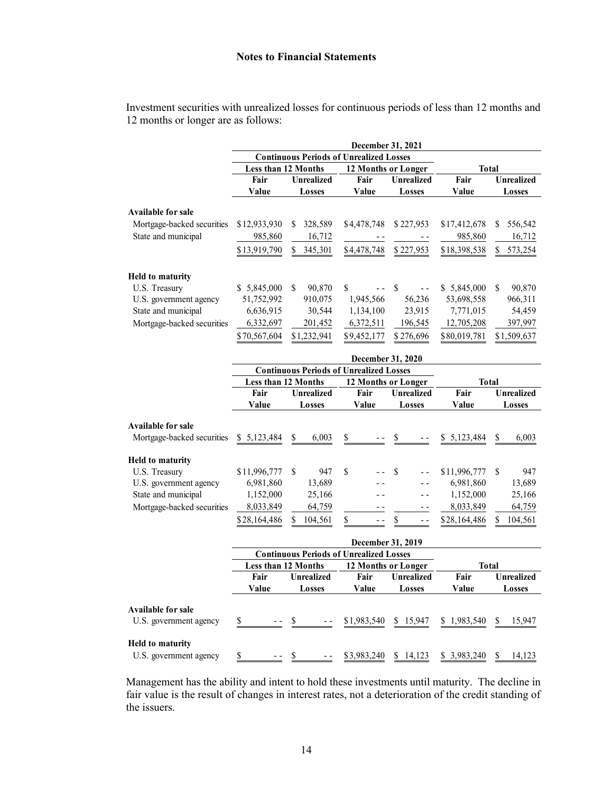Investment securities with unrealized losses for continuous periods of less than 12 months and 12 months or longer are as follows:

|                            |                            |                                                | December 31, 2021   |                   |                 |                   |  |
|----------------------------|----------------------------|------------------------------------------------|---------------------|-------------------|-----------------|-------------------|--|
|                            |                            | <b>Continuous Periods of Unrealized Losses</b> |                     |                   |                 |                   |  |
|                            | <b>Less than 12 Months</b> |                                                | 12 Months or Longer |                   |                 | Total             |  |
|                            | Fair                       | <b>Unrealized</b>                              | Fair                | <b>Unrealized</b> | Fair            | <b>Unrealized</b> |  |
|                            | Value                      | <b>Losses</b>                                  | Value               | Losses            | Value           | Losses            |  |
| <b>Available for sale</b>  |                            |                                                |                     |                   |                 |                   |  |
| Mortgage-backed securities | \$12,933,930               | 328,589<br>\$                                  | \$4,478,748         | \$227,953         | \$17,412,678    | 556,542<br>S.     |  |
| State and municipal        | 985,860                    | 16,712                                         |                     |                   | 985,860         | 16,712            |  |
|                            | \$13,919,790               | 345,301<br>S                                   | \$4,478,748         | \$227,953         | \$18,398,538    | 573,254<br>S      |  |
| <b>Held to maturity</b>    |                            |                                                |                     |                   |                 |                   |  |
| U.S. Treasury              | \$5,845,000                | 90.870<br>S.                                   | S.                  | - S               | 5,845,000<br>S. | 90,870<br>-S      |  |
| U.S. government agency     | 51,752,992                 | 910,075                                        | 1,945,566           | 56,236            | 53,698,558      | 966,311           |  |
| State and municipal        | 6,636,915                  | 30,544                                         | 1,134,100           | 23,915            | 7,771,015       | 54,459            |  |
| Mortgage-backed securities | 6,332,697                  | 201,452                                        | 6,372,511           | 196,545           | 12,705,208      | 397,997           |  |
|                            | \$70,567,604               | \$1,232,941                                    | \$9,452,177         | \$276,696         | \$80,019,781    | \$1,509,637       |  |
|                            | <b>December 31, 2020</b>   |                                                |                     |                   |                 |                   |  |

|                            |                            | <b>Continuous Periods of Unrealized Losses</b> |                   |                     |              |                      |  |
|----------------------------|----------------------------|------------------------------------------------|-------------------|---------------------|--------------|----------------------|--|
|                            | <b>Less than 12 Months</b> |                                                |                   | 12 Months or Longer | <b>Total</b> |                      |  |
|                            | Fair                       | <b>Unrealized</b>                              | Fair              | <b>Unrealized</b>   | Fair         | <b>Unrealized</b>    |  |
|                            | Value                      | Losses                                         | Value             | Losses              | Value        | Losses               |  |
| <b>Available for sale</b>  |                            |                                                |                   |                     |              |                      |  |
| Mortgage-backed securities | \$5,123,484                | 6,003<br>S                                     | S                 | S                   | \$5,123,484  | 6,003<br>S           |  |
| <b>Held to maturity</b>    |                            |                                                |                   |                     |              |                      |  |
| U.S. Treasury              | \$11,996,777               | S<br>947                                       | S                 | \$.                 | \$11,996,777 | 947<br><sup>\$</sup> |  |
| U.S. government agency     | 6,981,860                  | 13,689                                         |                   |                     | 6,981,860    | 13,689               |  |
| State and municipal        | 1,152,000                  | 25,166                                         |                   |                     | 1,152,000    | 25,166               |  |
| Mortgage-backed securities | 8,033,849                  | 64,759                                         | - -               | - -                 | 8,033,849    | 64,759               |  |
|                            | \$28,164,486               | 104,561<br>S                                   | S                 |                     | \$28,164,486 | 104,561              |  |
|                            |                            |                                                | December 31, 2019 |                     |              |                      |  |
|                            |                            | <b>Continuous Periods of Unrealized Losses</b> |                   |                     |              |                      |  |
|                            | <b>Less than 12 Months</b> |                                                |                   | 12 Months or Longer | <b>Total</b> |                      |  |
|                            | Fair                       | <b>Unrealized</b>                              | Fair              | <b>Unrealized</b>   | Fair         | <b>Unrealized</b>    |  |
|                            | Value                      | Losses                                         | Value             | Losses              | Value        | Losses               |  |
| <b>Available for sale</b>  |                            |                                                |                   |                     |              |                      |  |
| U.S. government agency     | \$                         |                                                | \$1,983,540       | \$15,947            | \$1,983,540  | 15,947               |  |
| <b>Held to maturity</b>    |                            |                                                |                   |                     |              |                      |  |
| U.S. government agency     | \$                         | S                                              | \$3,983,240       | \$14,123            | \$ 3,983,240 | S<br>14.123          |  |

Management has the ability and intent to hold these investments until maturity. The decline in fair value is the result of changes in interest rates, not a deterioration of the credit standing of the issuers.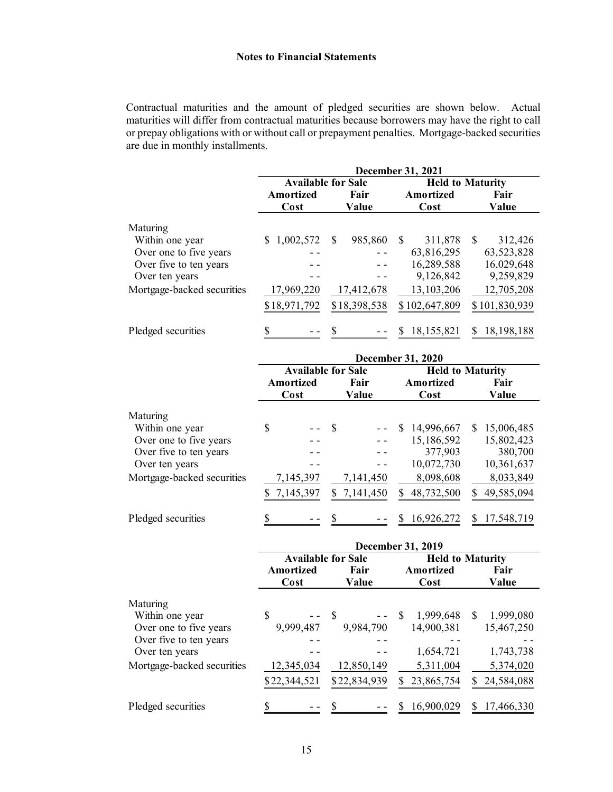Contractual maturities and the amount of pledged securities are shown below. Actual maturities will differ from contractual maturities because borrowers may have the right to call or prepay obligations with or without call or prepayment penalties. Mortgage-backed securities are due in monthly installments.

|                            |              |                           | December 31, 2021 |                         |
|----------------------------|--------------|---------------------------|-------------------|-------------------------|
|                            |              | <b>Available for Sale</b> |                   | <b>Held to Maturity</b> |
|                            | Amortized    | Fair                      | Amortized         | Fair                    |
|                            | Cost         | Value                     | Cost              | Value                   |
| Maturing                   |              |                           |                   |                         |
| Within one year            | 1,002,572    | 985,860<br>S              | 311,878<br>-S     | 312,426<br>-S           |
| Over one to five years     |              |                           | 63,816,295        | 63,523,828              |
| Over five to ten years     |              |                           | 16,289,588        | 16,029,648              |
| Over ten years             |              |                           | 9,126,842         | 9,259,829               |
| Mortgage-backed securities | 17,969,220   | 17,412,678                | 13, 103, 206      | 12,705,208              |
|                            | \$18,971,792 | \$18,398,538              | \$102,647,809     | \$101,830,939           |
| Pledged securities         |              |                           | 18, 155, 821      | 18,198,188<br>S         |

|                             |                   |                           | December 31, 2020       |                         |  |  |  |  |  |  |
|-----------------------------|-------------------|---------------------------|-------------------------|-------------------------|--|--|--|--|--|--|
|                             |                   | <b>Available for Sale</b> |                         | <b>Held to Maturity</b> |  |  |  |  |  |  |
|                             | <b>Amortized</b>  | Fair                      | Amortized               | Fair                    |  |  |  |  |  |  |
|                             | Cost              | Value                     | Cost                    | Value                   |  |  |  |  |  |  |
|                             |                   |                           |                         |                         |  |  |  |  |  |  |
| Maturing<br>Within one year | \$                | S                         | 14,996,667<br>\$.       | 15,006,485<br>\$        |  |  |  |  |  |  |
| Over one to five years      |                   |                           | 15,186,592              | 15,802,423              |  |  |  |  |  |  |
| Over five to ten years      |                   |                           | 377,903                 | 380,700                 |  |  |  |  |  |  |
| Over ten years              |                   |                           | 10,072,730              | 10,361,637              |  |  |  |  |  |  |
| Mortgage-backed securities  | 7,145,397         | 7,141,450                 | 8,098,608               | 8,033,849               |  |  |  |  |  |  |
|                             |                   |                           |                         |                         |  |  |  |  |  |  |
|                             | 7,145,397<br>S    | 7,141,450<br>S            | 48,732,500<br>\$        | 49,585,094<br>\$        |  |  |  |  |  |  |
|                             |                   |                           |                         |                         |  |  |  |  |  |  |
| Pledged securities          | \$                |                           | 16,926,272<br>\$        | 17,548,719<br>\$        |  |  |  |  |  |  |
|                             |                   |                           |                         |                         |  |  |  |  |  |  |
|                             | December 31, 2019 |                           |                         |                         |  |  |  |  |  |  |
|                             |                   | <b>Available for Sale</b> | <b>Held to Maturity</b> |                         |  |  |  |  |  |  |
|                             | <b>Amortized</b>  | Fair                      | <b>Amortized</b>        | Fair                    |  |  |  |  |  |  |
|                             | Cost              | Value                     | Cost                    | Value                   |  |  |  |  |  |  |
| Maturing                    |                   |                           |                         |                         |  |  |  |  |  |  |
| Within one year             | \$                | S                         | 1,999,648<br>\$.        | \$<br>1,999,080         |  |  |  |  |  |  |
| Over one to five years      | 9,999,487         | 9,984,790                 | 14,900,381              | 15,467,250              |  |  |  |  |  |  |
|                             |                   |                           |                         |                         |  |  |  |  |  |  |
|                             |                   |                           |                         |                         |  |  |  |  |  |  |
| Over five to ten years      |                   |                           |                         |                         |  |  |  |  |  |  |
| Over ten years              |                   |                           | 1,654,721               | 1,743,738               |  |  |  |  |  |  |
| Mortgage-backed securities  | 12,345,034        | 12,850,149                | 5,311,004               | 5,374,020               |  |  |  |  |  |  |
|                             | \$22,344,521      | \$22,834,939              | 23,865,754<br>S.        | 24,584,088<br>S         |  |  |  |  |  |  |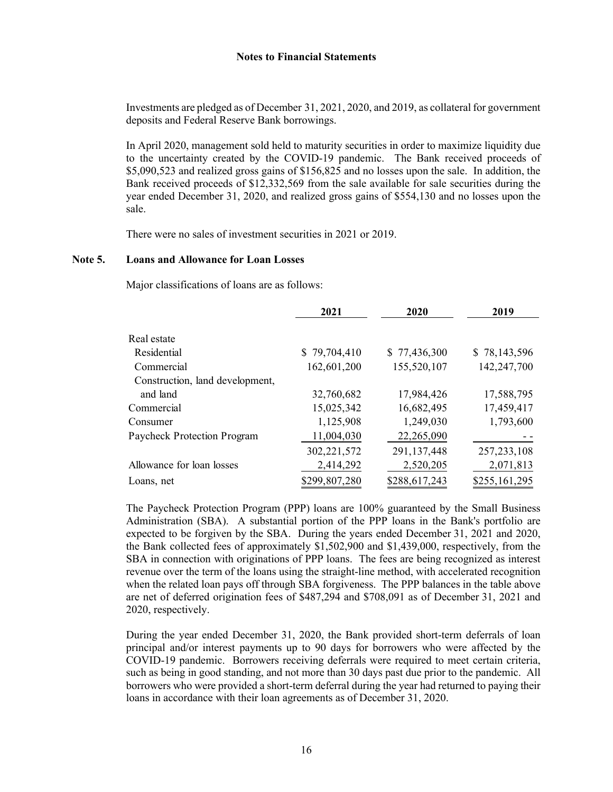Investments are pledged as of December 31, 2021, 2020, and 2019, as collateral for government deposits and Federal Reserve Bank borrowings.

In April 2020, management sold held to maturity securities in order to maximize liquidity due to the uncertainty created by the COVID-19 pandemic. The Bank received proceeds of \$5,090,523 and realized gross gains of \$156,825 and no losses upon the sale. In addition, the Bank received proceeds of \$12,332,569 from the sale available for sale securities during the year ended December 31, 2020, and realized gross gains of \$554,130 and no losses upon the sale.

There were no sales of investment securities in 2021 or 2019.

### **Note 5. Loans and Allowance for Loan Losses**

Major classifications of loans are as follows:

|                                 | 2021          | 2020          | 2019          |
|---------------------------------|---------------|---------------|---------------|
| Real estate                     |               |               |               |
| Residential                     | \$79,704,410  | \$77,436,300  | \$78,143,596  |
| Commercial                      | 162,601,200   | 155,520,107   | 142,247,700   |
| Construction, land development, |               |               |               |
| and land                        | 32,760,682    | 17,984,426    | 17,588,795    |
| Commercial                      | 15,025,342    | 16,682,495    | 17,459,417    |
| Consumer                        | 1,125,908     | 1,249,030     | 1,793,600     |
| Paycheck Protection Program     | 11,004,030    | 22,265,090    |               |
|                                 | 302, 221, 572 | 291,137,448   | 257, 233, 108 |
| Allowance for loan losses       | 2,414,292     | 2,520,205     | 2,071,813     |
| Loans, net                      | \$299,807,280 | \$288,617,243 | \$255,161,295 |

The Paycheck Protection Program (PPP) loans are 100% guaranteed by the Small Business Administration (SBA). A substantial portion of the PPP loans in the Bank's portfolio are expected to be forgiven by the SBA. During the years ended December 31, 2021 and 2020, the Bank collected fees of approximately \$1,502,900 and \$1,439,000, respectively, from the SBA in connection with originations of PPP loans. The fees are being recognized as interest revenue over the term of the loans using the straight-line method, with accelerated recognition when the related loan pays off through SBA forgiveness. The PPP balances in the table above are net of deferred origination fees of \$487,294 and \$708,091 as of December 31, 2021 and 2020, respectively.

During the year ended December 31, 2020, the Bank provided short-term deferrals of loan principal and/or interest payments up to 90 days for borrowers who were affected by the COVID-19 pandemic. Borrowers receiving deferrals were required to meet certain criteria, such as being in good standing, and not more than 30 days past due prior to the pandemic. All borrowers who were provided a short-term deferral during the year had returned to paying their loans in accordance with their loan agreements as of December 31, 2020.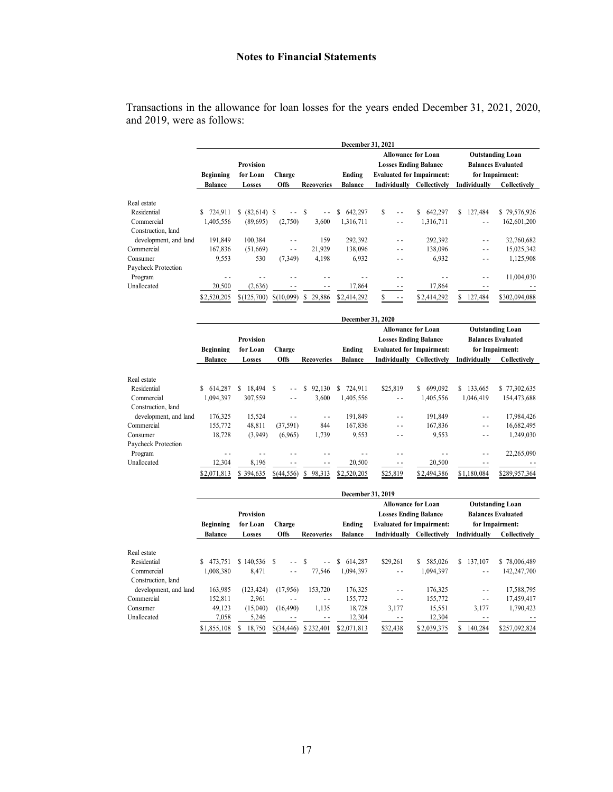|                       | <b>December 31, 2021</b> |                |             |              |                |                                                           |               |               |                                                      |  |  |  |  |
|-----------------------|--------------------------|----------------|-------------|--------------|----------------|-----------------------------------------------------------|---------------|---------------|------------------------------------------------------|--|--|--|--|
|                       |                          | Provision      |             |              |                | <b>Allowance for Loan</b><br><b>Losses Ending Balance</b> |               |               | <b>Outstanding Loan</b><br><b>Balances Evaluated</b> |  |  |  |  |
|                       | <b>Beginning</b>         | for Loan       | Charge      |              | Ending         | <b>Evaluated for Impairment:</b>                          |               |               | for Impairment:                                      |  |  |  |  |
|                       | <b>Balance</b>           | Losses         | <b>Offs</b> | Recoveries   | <b>Balance</b> | Individually                                              | Collectively  | Individuallv  | Collectively                                         |  |  |  |  |
| Real estate           |                          |                |             |              |                |                                                           |               |               |                                                      |  |  |  |  |
| Residential           | 724.911<br>\$            | \$ (82,614) \$ | $--$ \$     | $ -$         | S<br>642,297   | \$<br>$\overline{a}$                                      | 642.297<br>S. | 127,484<br>S. | \$79,576,926                                         |  |  |  |  |
| Commercial            | 1,405,556                | (89,695)       | (2,750)     | 3,600        | 1,316,711      | - -                                                       | 1,316,711     | - -           | 162,601,200                                          |  |  |  |  |
| Construction, land    |                          |                |             |              |                |                                                           |               |               |                                                      |  |  |  |  |
| development, and land | 191.849                  | 100,384        | - -         | 159          | 292,392        | $ -$                                                      | 292,392       | $ -$          | 32,760,682                                           |  |  |  |  |
| Commercial            | 167,836                  | (51,669)       | $ -$        | 21,929       | 138,096        | - -                                                       | 138,096       | $ -$          | 15,025,342                                           |  |  |  |  |
| Consumer              | 9,553                    | 530            | (7,349)     | 4,198        | 6,932          | - -                                                       | 6,932         | - -           | 1,125,908                                            |  |  |  |  |
| Paycheck Protection   |                          |                |             |              |                |                                                           |               |               |                                                      |  |  |  |  |
| Program               | - -                      |                |             |              |                |                                                           |               | - -           | 11,004,030                                           |  |  |  |  |
| Unallocated           | 20,500                   | (2,636)        |             | $ -$         | 17,864         | - -                                                       | 17,864        | $ -$          |                                                      |  |  |  |  |
|                       | \$2,520,205              | \$(125,700)    | \$(10,099)  | \$<br>29,886 | \$2,414,292    |                                                           | \$2,414,292   | 127.484       | \$302,094,088                                        |  |  |  |  |

Transactions in the allowance for loan losses for the years ended December 31, 2021, 2020, and 2019, were as follows:

|                       |                  |                 |             |             | <b>December 31, 2020</b> |                                  |               |                           |                         |  |  |
|-----------------------|------------------|-----------------|-------------|-------------|--------------------------|----------------------------------|---------------|---------------------------|-------------------------|--|--|
|                       |                  |                 |             |             |                          | <b>Allowance for Loan</b>        |               |                           | <b>Outstanding Loan</b> |  |  |
|                       |                  | Provision       |             |             |                          | <b>Losses Ending Balance</b>     |               | <b>Balances Evaluated</b> |                         |  |  |
|                       | <b>Beginning</b> | for Loan        | Charge      |             | Ending                   | <b>Evaluated for Impairment:</b> |               | for Impairment:           |                         |  |  |
|                       | <b>Balance</b>   | Losses          | <b>Offs</b> | Recoveries  | <b>Balance</b>           | Individually                     | Collectively  | Individually              | Collectively            |  |  |
|                       |                  |                 |             |             |                          |                                  |               |                           |                         |  |  |
| Real estate           |                  |                 |             |             |                          |                                  |               |                           |                         |  |  |
| Residential           | 614.287<br>S.    | 18.494 \$<br>S. | $-$         | S<br>92,130 | 724.911<br>S             | \$25,819                         | 699,092<br>S. | 133,665<br>S.             | \$77,302,635            |  |  |
| Commercial            | 1,094,397        | 307,559         | - -         | 3.600       | 1,405,556                | - -                              | 1,405,556     | 1.046.419                 | 154,473,688             |  |  |
| Construction, land    |                  |                 |             |             |                          |                                  |               |                           |                         |  |  |
| development, and land | 176,325          | 15,524          |             | $ -$        | 191,849                  | $\overline{a}$                   | 191.849       | $ -$                      | 17,984,426              |  |  |
| Commercial            | 155,772          | 48,811          | (37,591)    | 844         | 167,836                  | $ -$                             | 167,836       | $ -$                      | 16,682,495              |  |  |
| Consumer              | 18,728           | (3,949)         | (6.965)     | 1,739       | 9,553                    | - -                              | 9,553         | $ -$                      | 1,249,030               |  |  |
| Paycheck Protection   |                  |                 |             |             |                          |                                  |               |                           |                         |  |  |
| Program               |                  |                 |             |             |                          |                                  |               | $ -$                      | 22,265,090              |  |  |
| Unallocated           | 12,304           | 8,196           | - -         | $ -$        | 20,500                   | $ -$                             | 20,500        | - -                       |                         |  |  |
|                       | \$2,071,813      | \$394,635       | \$(44,556)  | 98,313<br>S | \$2,520,205              | \$25,819                         | \$2,494,386   | \$1,180,084               | \$289,957,364           |  |  |

|                       |                  |               |              |            | December 31, 2019 |                                  |                         |                                              |                         |  |
|-----------------------|------------------|---------------|--------------|------------|-------------------|----------------------------------|-------------------------|----------------------------------------------|-------------------------|--|
|                       |                  |               |              |            |                   | <b>Allowance for Loan</b>        |                         |                                              | <b>Outstanding Loan</b> |  |
|                       |                  | Provision     |              |            |                   | <b>Losses Ending Balance</b>     |                         | <b>Balances Evaluated</b><br>for Impairment: |                         |  |
|                       | <b>Beginning</b> | for Loan      | Charge       |            | Ending            | <b>Evaluated for Impairment:</b> |                         |                                              |                         |  |
|                       | <b>Balance</b>   | Losses        | Offs         | Recoveries | <b>Balance</b>    | Individually                     | Collectively            | Individually                                 | Collectively            |  |
| Real estate           |                  |               |              |            |                   |                                  |                         |                                              |                         |  |
| Residential           | S<br>473.751     | $$140,536$ \$ | $--$ S       | $ -$       | S<br>614.287      | \$29,261                         | 585,026<br><sup>S</sup> | S.<br>137,107                                | \$78,006,489            |  |
| Commercial            | 1.008.380        | 8.471         | - -          | 77,546     | 1.094.397         | $ -$                             | 1.094.397               | $ -$                                         | 142,247,700             |  |
| Construction, land    |                  |               |              |            |                   |                                  |                         |                                              |                         |  |
| development, and land | 163.985          | (123.424)     | (17,956)     | 153,720    | 176,325           | $- -$                            | 176,325                 | - -                                          | 17,588,795              |  |
| Commercial            | 152.811          | 2,961         | - -          | $ -$       | 155,772           | $ -$                             | 155,772                 | - -                                          | 17,459,417              |  |
| Consumer              | 49,123           | (15,040)      | (16, 490)    | 1,135      | 18,728            | 3,177                            | 15,551                  | 3,177                                        | 1,790,423               |  |
| Unallocated           | 7,058            | 5,246         |              | $ -$       | 12,304            | - -                              | 12,304                  | - -                                          | $ -$                    |  |
|                       | \$1,855,108      | 18,750        | $$$ (34,446) | \$232,401  | \$2,071,813       | \$32,438                         | \$2,039,375             | 140,284                                      | \$257,092,824           |  |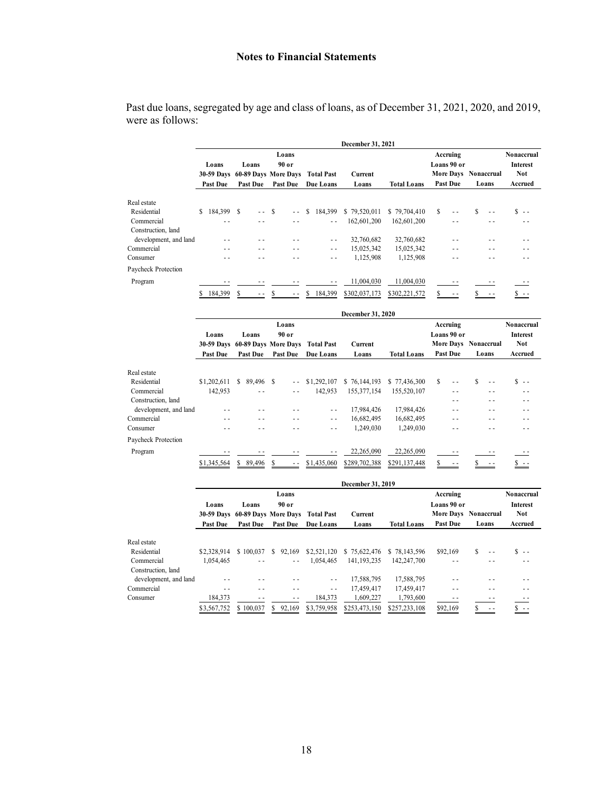|                       |   |                                                             |    |                          |                                   |   |                                | December 31, 2021 |                    |                                                                    |   |       |                                                        |
|-----------------------|---|-------------------------------------------------------------|----|--------------------------|-----------------------------------|---|--------------------------------|-------------------|--------------------|--------------------------------------------------------------------|---|-------|--------------------------------------------------------|
|                       |   | Loans<br>30-59 Days 60-89 Days More Days<br><b>Past Due</b> |    | Loans<br><b>Past Due</b> | Loans<br>90 or<br><b>Past Due</b> |   | <b>Total Past</b><br>Due Loans | Current<br>Loans  | <b>Total Loans</b> | Accruing<br>Loans 90 or<br>More Days Nonaccrual<br><b>Past Due</b> |   | Loans | Nonaccrual<br><b>Interest</b><br><b>Not</b><br>Accrued |
|                       |   |                                                             |    |                          |                                   |   |                                |                   |                    |                                                                    |   |       |                                                        |
| Real estate           |   |                                                             |    |                          |                                   |   |                                |                   |                    |                                                                    |   |       |                                                        |
| Residential           | s | 184,399                                                     | -S | -- S                     | $ -$                              | S | 184,399                        | \$79,520,011      | \$79,704,410       | \$<br>$ -$                                                         | S | $ -$  | $s -$                                                  |
| Commercial            |   |                                                             |    | - -                      |                                   |   | - -                            | 162,601,200       | 162,601,200        |                                                                    |   |       |                                                        |
| Construction, land    |   |                                                             |    |                          |                                   |   |                                |                   |                    |                                                                    |   |       |                                                        |
| development, and land |   |                                                             |    | - -                      | - -                               |   | $ -$                           | 32,760,682        | 32,760,682         |                                                                    |   |       |                                                        |
| Commercial            |   | - -                                                         |    | - -                      | - -                               |   | $ -$                           | 15,025,342        | 15,025,342         |                                                                    |   | $ -$  | - -                                                    |
| Consumer              |   | - -                                                         |    | - -                      |                                   |   | $\overline{a}$                 | 1,125,908         | 1,125,908          |                                                                    |   |       |                                                        |
| Paycheck Protection   |   |                                                             |    |                          |                                   |   |                                |                   |                    |                                                                    |   |       |                                                        |
| Program               |   |                                                             |    |                          |                                   |   |                                | 11.004.030        | 11.004.030         |                                                                    |   |       |                                                        |
|                       | S | 184,399                                                     | S  | - -                      | - -                               |   | 184,399                        | \$302,037,173     | \$302,221,572      |                                                                    |   |       |                                                        |

Past due loans, segregated by age and class of loans, as of December 31, 2021, 2020, and 2019, were as follows:

|                       |                 |                                          |                 |                              | <b>December 31, 2020</b> |                    |                                                 |           |                     |  |  |
|-----------------------|-----------------|------------------------------------------|-----------------|------------------------------|--------------------------|--------------------|-------------------------------------------------|-----------|---------------------|--|--|
|                       | Loans           | Loans<br>30-59 Days 60-89 Days More Days | Loans<br>90 or  | <b>Total Past</b><br>Current |                          |                    | Accruing<br>Loans 90 or<br>More Days Nonaccrual |           |                     |  |  |
|                       | <b>Past Due</b> | <b>Past Due</b>                          | <b>Past Due</b> | Due Loans                    | Loans                    | <b>Total Loans</b> | <b>Past Due</b>                                 | Loans     | Accrued             |  |  |
| Real estate           |                 |                                          |                 |                              |                          |                    |                                                 |           |                     |  |  |
| Residential           | \$1,202,611     | 89,496<br>S                              | S<br>$ -$       | \$1,292,107                  | \$76,144,193             | \$77,436,300       | \$                                              | S<br>$ -$ | \$<br>$\sim$ $\sim$ |  |  |
| Commercial            | 142,953         |                                          | $ -$            | 142,953                      | 155, 377, 154            | 155,520,107        | $ -$                                            | - -       |                     |  |  |
| Construction, land    |                 |                                          |                 |                              |                          |                    | $ -$                                            | - -       | - -                 |  |  |
| development, and land |                 | - -                                      | - -             | $ -$                         | 17,984,426               | 17,984,426         |                                                 | - -       | - -                 |  |  |
| Commercial            |                 | - -                                      | - -             | - -                          | 16,682,495               | 16,682,495         | $ -$                                            | - -       |                     |  |  |
| Consumer              |                 |                                          |                 |                              | 1,249,030                | 1,249,030          |                                                 |           |                     |  |  |
| Paycheck Protection   |                 |                                          |                 |                              |                          |                    |                                                 |           |                     |  |  |
| Program               |                 |                                          |                 |                              | 22, 265, 090             | 22,265,090         |                                                 |           |                     |  |  |
|                       | \$1,345,564     | 89,496<br>S.                             | S<br>$ -$       | \$1,435,060                  | \$289,702,388            | \$291,137,448      |                                                 |           |                     |  |  |

|                       |             |                                                     |    |                 |             | December 31, 2019 |                    |                                      |                               |         |
|-----------------------|-------------|-----------------------------------------------------|----|-----------------|-------------|-------------------|--------------------|--------------------------------------|-------------------------------|---------|
|                       | Loans       | Loans<br>30-59 Days 60-89 Days More Days Total Past |    |                 |             |                   |                    | Nonaccrual<br><b>Interest</b><br>Not |                               |         |
|                       | Past Due    | <b>Past Due</b>                                     |    | <b>Past Due</b> | Due Loans   | Current<br>Loans  | <b>Total Loans</b> | <b>Past Due</b>                      | More Days Nonaccrual<br>Loans | Accrued |
| Real estate           |             |                                                     |    |                 |             |                   |                    |                                      |                               |         |
| Residential           | \$2,328,914 | \$100,037                                           | S. | 92,169          | \$2,521,120 | \$75,622,476      | \$78,143,596       | \$92,169                             | S<br>$ -$                     | s --    |
| Commercial            | 1.054.465   |                                                     |    | $ -$            | 1.054.465   | 141, 193, 235     | 142,247,700        |                                      |                               |         |
| Construction, land    |             |                                                     |    |                 |             |                   |                    |                                      |                               |         |
| development, and land |             |                                                     |    |                 | $ -$        | 17,588,795        | 17,588,795         |                                      |                               |         |
| Commercial            | - -         | - -                                                 |    | - -             | - -         | 17,459,417        | 17,459,417         | - -                                  | - -                           | - -     |
| Consumer              | 184.373     |                                                     |    | $ -$            | 184,373     | 1.609.227         | 1,793,600          |                                      | $ -$                          |         |
|                       | \$3,567,752 | \$100,037                                           | S. | 92,169          | \$3,759,958 | \$253,473,150     | \$257,233,108      | \$92,169                             | $ -$                          | $ -$    |
|                       |             |                                                     |    |                 |             |                   |                    |                                      |                               |         |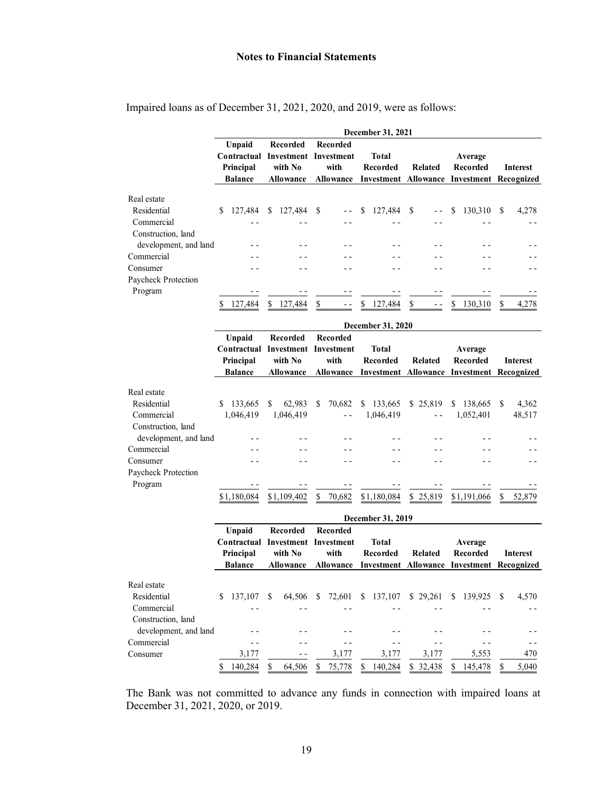|                       |                  |                                   |                 | December 31, 2021                                    |                |                 |                 |  |
|-----------------------|------------------|-----------------------------------|-----------------|------------------------------------------------------|----------------|-----------------|-----------------|--|
|                       | Unpaid           | <b>Recorded</b>                   | <b>Recorded</b> |                                                      |                |                 |                 |  |
|                       |                  | Contractual Investment Investment |                 | Total                                                |                | Average         |                 |  |
|                       | Principal        | with No                           | with            | <b>Recorded</b>                                      | Related        | <b>Recorded</b> | <b>Interest</b> |  |
|                       | <b>Balance</b>   | <b>Allowance</b>                  |                 | Allowance Investment Allowance Investment Recognized |                |                 |                 |  |
|                       |                  |                                   |                 |                                                      |                |                 |                 |  |
| Real estate           |                  |                                   |                 |                                                      |                |                 |                 |  |
| Residential           | S<br>127,484     | S<br>127,484                      | \$              | S<br>127,484                                         | S              | 130,310<br>S    | \$<br>4,278     |  |
| Commercial            | $ -$             |                                   |                 |                                                      |                | $ -$            |                 |  |
| Construction, land    |                  |                                   |                 |                                                      |                |                 |                 |  |
| development, and land |                  |                                   |                 |                                                      |                |                 |                 |  |
| Commercial            |                  |                                   |                 |                                                      |                |                 |                 |  |
| Consumer              |                  |                                   |                 |                                                      |                |                 |                 |  |
| Paycheck Protection   |                  |                                   |                 |                                                      |                |                 |                 |  |
| Program               | - -              |                                   |                 |                                                      |                |                 |                 |  |
|                       |                  |                                   |                 |                                                      |                |                 |                 |  |
|                       | 127,484<br>\$    | 127,484                           | \$              | \$<br>127,484                                        | \$             | \$<br>130,310   | \$<br>4,278     |  |
|                       |                  |                                   |                 | December 31, 2020                                    |                |                 |                 |  |
|                       | Unpaid           | <b>Recorded</b>                   | <b>Recorded</b> |                                                      |                |                 |                 |  |
|                       |                  | Contractual Investment Investment |                 | <b>Total</b>                                         |                | Average         |                 |  |
|                       | Principal        | with No                           | with            | Recorded                                             | <b>Related</b> | <b>Recorded</b> | <b>Interest</b> |  |
|                       | <b>Balance</b>   | <b>Allowance</b>                  |                 | Allowance Investment Allowance Investment Recognized |                |                 |                 |  |
| Real estate           |                  |                                   |                 |                                                      |                |                 |                 |  |
| Residential           | 133,665          | \$<br>62,983                      |                 |                                                      |                |                 |                 |  |
|                       | S.               |                                   | 70,682<br>S.    | \$133,665                                            | \$25,819       | S.<br>138,665   | 4,362<br>S      |  |
| Commercial            | 1,046,419        | 1,046,419                         | $\overline{a}$  | 1,046,419                                            | $ -$           | 1,052,401       | 48,517          |  |
| Construction, land    |                  |                                   |                 |                                                      |                |                 |                 |  |
| development, and land |                  |                                   |                 |                                                      |                |                 |                 |  |
| Commercial            |                  |                                   |                 |                                                      |                |                 |                 |  |
| Consumer              |                  |                                   |                 |                                                      |                |                 |                 |  |
| Paycheck Protection   |                  |                                   |                 |                                                      |                |                 |                 |  |
| Program               |                  |                                   |                 |                                                      |                |                 |                 |  |
|                       | \$1,180,084      | \$1,109,402                       | 70,682<br>\$    | \$1,180,084                                          | \$25,819       | \$1,191,066     | 52,879<br>S.    |  |
|                       |                  |                                   |                 | December 31, 2019                                    |                |                 |                 |  |
|                       | Unpaid           | Recorded                          | <b>Recorded</b> |                                                      |                |                 |                 |  |
|                       |                  | Contractual Investment Investment |                 | Total                                                |                | Average         |                 |  |
|                       | Principal        | with No                           | with            | Recorded                                             | <b>Related</b> | <b>Recorded</b> | <b>Interest</b> |  |
|                       | <b>Balance</b>   | <b>Allowance</b>                  |                 | Allowance Investment Allowance Investment Recognized |                |                 |                 |  |
|                       |                  |                                   |                 |                                                      |                |                 |                 |  |
| Real estate           |                  |                                   |                 |                                                      |                |                 |                 |  |
| Residential           | 137,107 \$<br>S. |                                   |                 | 64,506 \$ 72,601 \$ 137,107 \$ 29,261                |                | \$139,925       | 4,570           |  |
| Commercial            |                  |                                   |                 |                                                      |                |                 |                 |  |
| Construction, land    |                  |                                   |                 |                                                      |                |                 |                 |  |
| development, and land | - -              |                                   |                 |                                                      |                |                 |                 |  |
| Commercial            | - -              |                                   | - -             | $ -$                                                 | - -            | - -             | $ -$            |  |
| Consumer              | 3,177            | $ -$                              | 3,177           | 3,177                                                | 3,177          | 5,553           | 470             |  |
|                       | 140,284<br>\$    | 64,506<br>S                       | 75,778<br>\$    | 140,284<br>\$                                        | \$ 32,438      | 145,478<br>\$   | 5,040<br>S      |  |

Impaired loans as of December 31, 2021, 2020, and 2019, were as follows:

The Bank was not committed to advance any funds in connection with impaired loans at December 31, 2021, 2020, or 2019.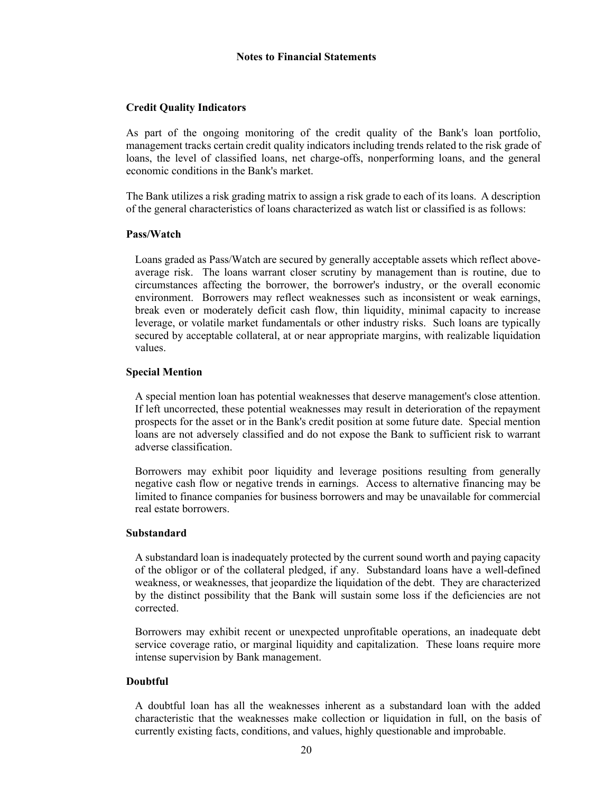## **Credit Quality Indicators**

As part of the ongoing monitoring of the credit quality of the Bank's loan portfolio, management tracks certain credit quality indicators including trends related to the risk grade of loans, the level of classified loans, net charge-offs, nonperforming loans, and the general economic conditions in the Bank's market.

The Bank utilizes a risk grading matrix to assign a risk grade to each of its loans. A description of the general characteristics of loans characterized as watch list or classified is as follows:

## **Pass/Watch**

Loans graded as Pass/Watch are secured by generally acceptable assets which reflect aboveaverage risk. The loans warrant closer scrutiny by management than is routine, due to circumstances affecting the borrower, the borrower's industry, or the overall economic environment. Borrowers may reflect weaknesses such as inconsistent or weak earnings, break even or moderately deficit cash flow, thin liquidity, minimal capacity to increase leverage, or volatile market fundamentals or other industry risks. Such loans are typically secured by acceptable collateral, at or near appropriate margins, with realizable liquidation values.

## **Special Mention**

A special mention loan has potential weaknesses that deserve management's close attention. If left uncorrected, these potential weaknesses may result in deterioration of the repayment prospects for the asset or in the Bank's credit position at some future date. Special mention loans are not adversely classified and do not expose the Bank to sufficient risk to warrant adverse classification.

Borrowers may exhibit poor liquidity and leverage positions resulting from generally negative cash flow or negative trends in earnings. Access to alternative financing may be limited to finance companies for business borrowers and may be unavailable for commercial real estate borrowers.

## **Substandard**

A substandard loan is inadequately protected by the current sound worth and paying capacity of the obligor or of the collateral pledged, if any. Substandard loans have a well-defined weakness, or weaknesses, that jeopardize the liquidation of the debt. They are characterized by the distinct possibility that the Bank will sustain some loss if the deficiencies are not corrected.

Borrowers may exhibit recent or unexpected unprofitable operations, an inadequate debt service coverage ratio, or marginal liquidity and capitalization. These loans require more intense supervision by Bank management.

## **Doubtful**

A doubtful loan has all the weaknesses inherent as a substandard loan with the added characteristic that the weaknesses make collection or liquidation in full, on the basis of currently existing facts, conditions, and values, highly questionable and improbable.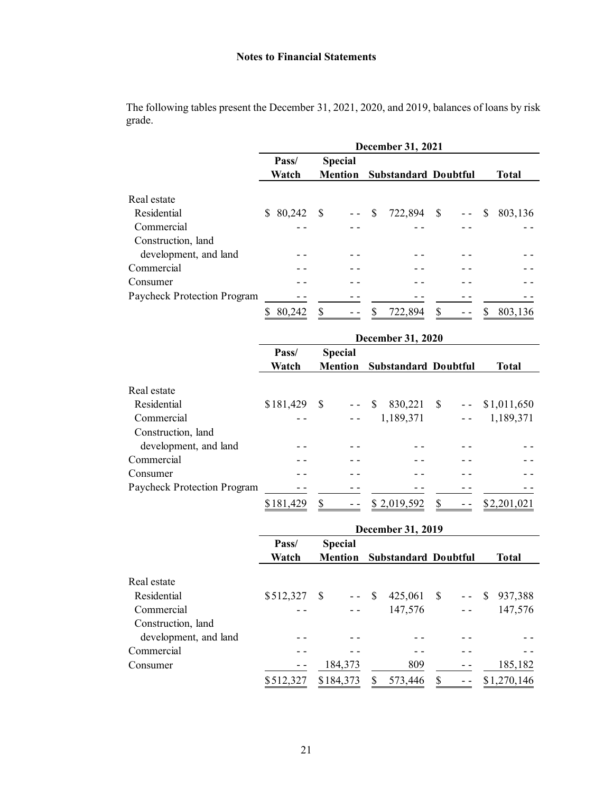The following tables present the December 31, 2021, 2020, and 2019, balances of loans by risk grade.

|                             |              |                | December 31, 2021           |                                  |               |
|-----------------------------|--------------|----------------|-----------------------------|----------------------------------|---------------|
|                             | Pass/        | <b>Special</b> |                             |                                  |               |
|                             | Watch        | <b>Mention</b> | <b>Substandard Doubtful</b> |                                  | Total         |
| Real estate                 |              |                |                             |                                  |               |
| Residential                 | \$80,242     | \$             | 722,894<br>\$               | $\boldsymbol{\mathsf{S}}$<br>- - | 803,136<br>\$ |
| Commercial                  |              |                |                             |                                  |               |
| Construction, land          |              |                |                             |                                  |               |
| development, and land       |              |                |                             |                                  |               |
| Commercial                  |              |                |                             |                                  |               |
| Consumer                    |              |                |                             |                                  |               |
| Paycheck Protection Program |              |                |                             | - -                              |               |
|                             | 80,242<br>\$ | \$             | \$<br>722,894               | \$                               | 803,136<br>\$ |
|                             |              |                | <b>December 31, 2020</b>    |                                  |               |
|                             | Pass/        | <b>Special</b> |                             |                                  |               |
|                             | Watch        | <b>Mention</b> | <b>Substandard Doubtful</b> |                                  | <b>Total</b>  |
|                             |              |                |                             |                                  |               |
| Real estate                 |              |                |                             |                                  |               |
| Residential                 | \$181,429    | \$             | \$<br>830,221               | \$                               | \$1,011,650   |
| Commercial                  |              |                | 1,189,371                   |                                  | 1,189,371     |
| Construction, land          |              |                |                             |                                  |               |
| development, and land       |              |                |                             |                                  |               |
| Commercial                  |              |                |                             |                                  |               |
| Consumer                    |              |                |                             |                                  |               |
| Paycheck Protection Program |              |                |                             |                                  |               |
|                             | \$181,429    | \$             | \$2,019,592                 | \$                               | \$2,201,021   |
|                             |              |                | <b>December 31, 2019</b>    |                                  |               |
|                             | Pass/        | <b>Special</b> |                             |                                  |               |
|                             | Watch        | <b>Mention</b> | <b>Substandard Doubtful</b> |                                  | Total         |
|                             |              |                |                             |                                  |               |
| Real estate                 |              |                |                             |                                  |               |
| Residential                 | \$512,327    | $\mathcal{S}$  | 425,061<br>\$               | \$                               | \$<br>937,388 |
| Commercial                  |              |                | 147,576                     |                                  | 147,576       |
| Construction, land          |              |                |                             |                                  |               |
| development, and land       |              |                |                             |                                  |               |
| Commercial                  |              |                |                             |                                  |               |
| Consumer                    |              | 184,373        | 809                         |                                  | 185,182       |
|                             | \$512,327    | \$184,373      | 573,446<br>$\mathbb{S}^-$   | \$<br>- -                        | \$1,270,146   |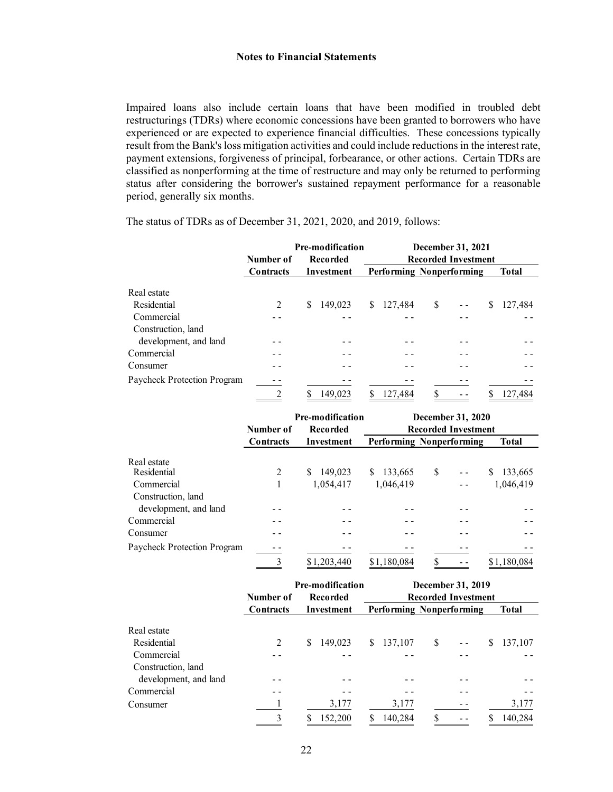Impaired loans also include certain loans that have been modified in troubled debt restructurings (TDRs) where economic concessions have been granted to borrowers who have experienced or are expected to experience financial difficulties. These concessions typically result from the Bank's loss mitigation activities and could include reductions in the interest rate, payment extensions, forgiveness of principal, forbearance, or other actions. Certain TDRs are classified as nonperforming at the time of restructure and may only be returned to performing status after considering the borrower's sustained repayment performance for a reasonable period, generally six months.

|                             |                        | Pre-modification              |         |   | December 31, 2021<br><b>Recorded Investment</b> |    |  |   |         |  |  |
|-----------------------------|------------------------|-------------------------------|---------|---|-------------------------------------------------|----|--|---|---------|--|--|
|                             | Number of<br>Contracts | <b>Recorded</b><br>Investment |         |   | <b>Performing Nonperforming</b>                 |    |  |   | Total   |  |  |
| Real estate                 |                        |                               |         |   |                                                 |    |  |   |         |  |  |
| Residential                 | 2                      | S                             | 149,023 | S | 127,484                                         | \$ |  | S | 127,484 |  |  |
| Commercial                  |                        |                               |         |   |                                                 |    |  |   |         |  |  |
| Construction, land          |                        |                               |         |   |                                                 |    |  |   |         |  |  |
| development, and land       |                        |                               |         |   |                                                 |    |  |   |         |  |  |
| Commercial                  |                        |                               |         |   |                                                 |    |  |   |         |  |  |
| Consumer                    |                        |                               |         |   |                                                 |    |  |   |         |  |  |
| Paycheck Protection Program |                        |                               |         |   |                                                 |    |  |   |         |  |  |
|                             |                        |                               | 149,023 |   | 127.484                                         |    |  |   | 127.484 |  |  |

The status of TDRs as of December 31, 2021, 2020, and 2019, follows:

|                             | Pre-modification<br>Number of<br><b>Recorded</b> |              |                                 | December 31, 2020<br><b>Recorded Investment</b> |  |              |
|-----------------------------|--------------------------------------------------|--------------|---------------------------------|-------------------------------------------------|--|--------------|
|                             | Contracts                                        | Investment   | <b>Performing Nonperforming</b> |                                                 |  | Total        |
| Real estate                 |                                                  |              |                                 |                                                 |  |              |
| Residential                 | 2                                                | 149,023<br>S | S<br>133,665                    | S                                               |  | S<br>133,665 |
| Commercial                  |                                                  | 1,054,417    | 1,046,419                       |                                                 |  | 1,046,419    |
| Construction, land          |                                                  |              |                                 |                                                 |  |              |
| development, and land       |                                                  |              |                                 |                                                 |  |              |
| Commercial                  |                                                  |              |                                 |                                                 |  |              |
| Consumer                    |                                                  |              |                                 |                                                 |  |              |
| Paycheck Protection Program |                                                  |              |                                 |                                                 |  |              |
|                             | 3                                                | \$1,203,440  | \$1,180,084                     | \$                                              |  | \$1,180,084  |

|                       | Number of | <b>Pre-modification</b><br><b>Recorded</b> |       |   | December 31, 2019<br><b>Recorded Investment</b> |               |   |         |
|-----------------------|-----------|--------------------------------------------|-------|---|-------------------------------------------------|---------------|---|---------|
|                       | Contracts | Investment                                 |       |   | <b>Performing Nonperforming</b>                 |               |   | Total   |
| Real estate           |           |                                            |       |   |                                                 |               |   |         |
| Residential           | 2         | 149,023<br>S                               |       | S | 137,107                                         | <sup>\$</sup> | S | 137,107 |
| Commercial            |           |                                            |       |   |                                                 |               |   |         |
| Construction, land    |           |                                            |       |   |                                                 |               |   |         |
| development, and land |           |                                            |       |   |                                                 |               |   |         |
| Commercial            |           |                                            |       |   |                                                 |               |   |         |
| Consumer              |           |                                            | 3,177 |   | 3,177                                           |               |   | 3,177   |
|                       | 3         | 152.200                                    |       | S | 140,284                                         | \$            |   | 140.284 |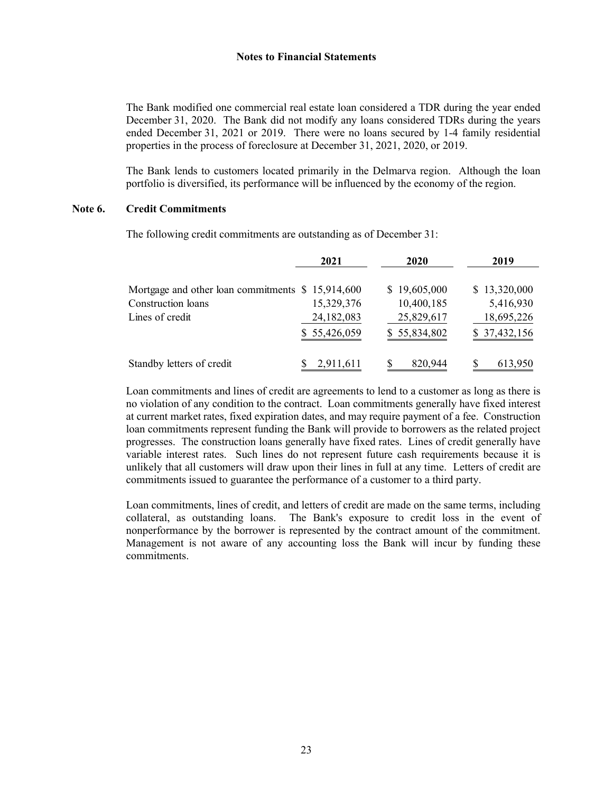The Bank modified one commercial real estate loan considered a TDR during the year ended December 31, 2020. The Bank did not modify any loans considered TDRs during the years ended December 31, 2021 or 2019. There were no loans secured by 1-4 family residential properties in the process of foreclosure at December 31, 2021, 2020, or 2019.

The Bank lends to customers located primarily in the Delmarva region. Although the loan portfolio is diversified, its performance will be influenced by the economy of the region.

## **Note 6. Credit Commitments**

The following credit commitments are outstanding as of December 31:

|                                                  | 2021         | 2020         | 2019         |
|--------------------------------------------------|--------------|--------------|--------------|
| Mortgage and other loan commitments \$15,914,600 |              | \$19,605,000 | \$13,320,000 |
| Construction loans                               | 15,329,376   | 10,400,185   | 5,416,930    |
| Lines of credit                                  | 24,182,083   | 25,829,617   | 18,695,226   |
|                                                  | \$55,426,059 | \$55,834,802 | \$37,432,156 |
| Standby letters of credit                        | 2,911,611    | 820,944      | 613,950      |

Loan commitments and lines of credit are agreements to lend to a customer as long as there is no violation of any condition to the contract. Loan commitments generally have fixed interest at current market rates, fixed expiration dates, and may require payment of a fee. Construction loan commitments represent funding the Bank will provide to borrowers as the related project progresses. The construction loans generally have fixed rates. Lines of credit generally have variable interest rates. Such lines do not represent future cash requirements because it is unlikely that all customers will draw upon their lines in full at any time. Letters of credit are commitments issued to guarantee the performance of a customer to a third party.

Loan commitments, lines of credit, and letters of credit are made on the same terms, including collateral, as outstanding loans. The Bank's exposure to credit loss in the event of nonperformance by the borrower is represented by the contract amount of the commitment. Management is not aware of any accounting loss the Bank will incur by funding these commitments.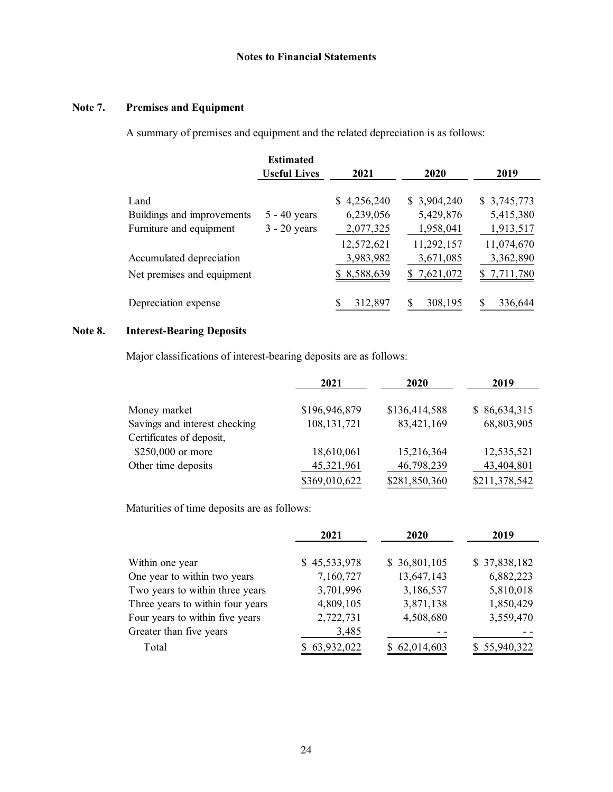## **Note 7. Premises and Equipment**

A summary of premises and equipment and the related depreciation is as follows:

|                            | <b>Estimated</b><br><b>Useful Lives</b> | 2021            | 2020            | 2019         |
|----------------------------|-----------------------------------------|-----------------|-----------------|--------------|
| Land                       |                                         | 4,256,240<br>S. | \$3,904,240     | \$3,745,773  |
| Buildings and improvements | $5 - 40$ years                          | 6,239,056       | 5,429,876       | 5,415,380    |
| Furniture and equipment    | $3 - 20$ years                          | 2,077,325       | 1,958,041       | 1,913,517    |
|                            |                                         | 12,572,621      | 11,292,157      | 11,074,670   |
| Accumulated depreciation   |                                         | 3,983,982       | 3,671,085       | 3,362,890    |
| Net premises and equipment |                                         | 8,588,639       | 7,621,072<br>S. | \$7,711,780  |
| Depreciation expense       |                                         | 312,897         | 308,195         | S<br>336,644 |

## **Note 8. Interest-Bearing Deposits**

Major classifications of interest-bearing deposits are as follows:

|                               | 2021          | 2020          | 2019          |
|-------------------------------|---------------|---------------|---------------|
| Money market                  | \$196,946,879 | \$136,414,588 | \$86,634,315  |
| Savings and interest checking | 108, 131, 721 | 83,421,169    | 68,803,905    |
| Certificates of deposit,      |               |               |               |
| \$250,000 or more             | 18,610,061    | 15,216,364    | 12,535,521    |
| Other time deposits           | 45,321,961    | 46,798,239    | 43,404,801    |
|                               | \$369,010,622 | \$281,850,360 | \$211,378,542 |

Maturities of time deposits are as follows:

|                                  | 2021         | 2020         | 2019         |
|----------------------------------|--------------|--------------|--------------|
| Within one year                  | \$45,533,978 | \$36,801,105 | \$37,838,182 |
| One year to within two years     | 7,160,727    | 13,647,143   | 6,882,223    |
| Two years to within three years  | 3,701,996    | 3,186,537    | 5,810,018    |
| Three years to within four years | 4,809,105    | 3,871,138    | 1,850,429    |
| Four years to within five years  | 2,722,731    | 4,508,680    | 3,559,470    |
| Greater than five years          | 3,485        |              |              |
| Total                            | 63,932,022   | 62,014,603   | \$55,940,322 |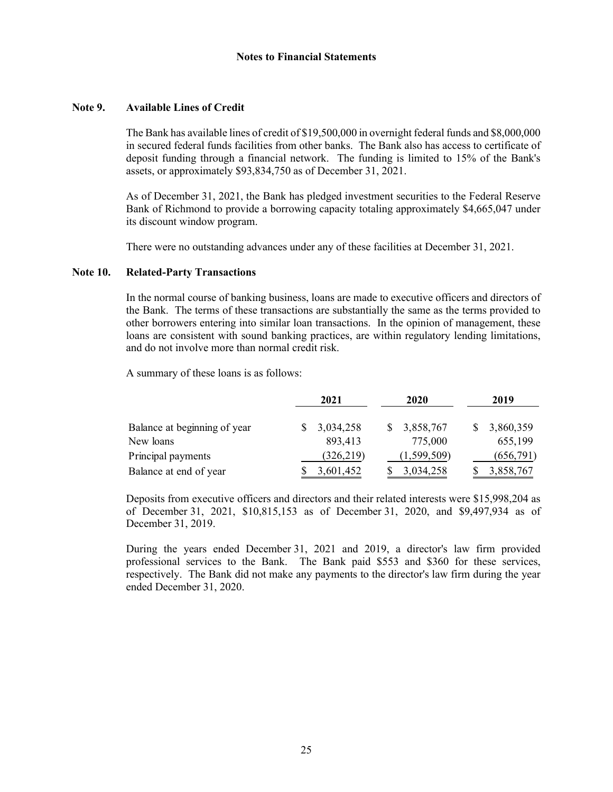## **Note 9. Available Lines of Credit**

The Bank has available lines of credit of \$19,500,000 in overnight federal funds and \$8,000,000 in secured federal funds facilities from other banks. The Bank also has access to certificate of deposit funding through a financial network. The funding is limited to 15% of the Bank's assets, or approximately \$93,834,750 as of December 31, 2021.

As of December 31, 2021, the Bank has pledged investment securities to the Federal Reserve Bank of Richmond to provide a borrowing capacity totaling approximately \$4,665,047 under its discount window program.

There were no outstanding advances under any of these facilities at December 31, 2021.

### **Note 10. Related-Party Transactions**

In the normal course of banking business, loans are made to executive officers and directors of the Bank. The terms of these transactions are substantially the same as the terms provided to other borrowers entering into similar loan transactions. In the opinion of management, these loans are consistent with sound banking practices, are within regulatory lending limitations, and do not involve more than normal credit risk.

A summary of these loans is as follows:

|                              | 2021 |            | 2020 |               | 2019 |            |  |
|------------------------------|------|------------|------|---------------|------|------------|--|
|                              |      |            |      |               |      |            |  |
| Balance at beginning of year |      | 3,034,258  |      | 3,858,767     |      | 3,860,359  |  |
| New loans                    |      | 893,413    |      | 775,000       |      | 655,199    |  |
| Principal payments           |      | (326, 219) |      | (1, 599, 509) |      | (656, 791) |  |
| Balance at end of year       |      | 3,601,452  |      | 3,034,258     |      | 3,858,767  |  |

Deposits from executive officers and directors and their related interests were \$15,998,204 as of December 31, 2021, \$10,815,153 as of December 31, 2020, and \$9,497,934 as of December 31, 2019.

During the years ended December 31, 2021 and 2019, a director's law firm provided professional services to the Bank. The Bank paid \$553 and \$360 for these services, respectively. The Bank did not make any payments to the director's law firm during the year ended December 31, 2020.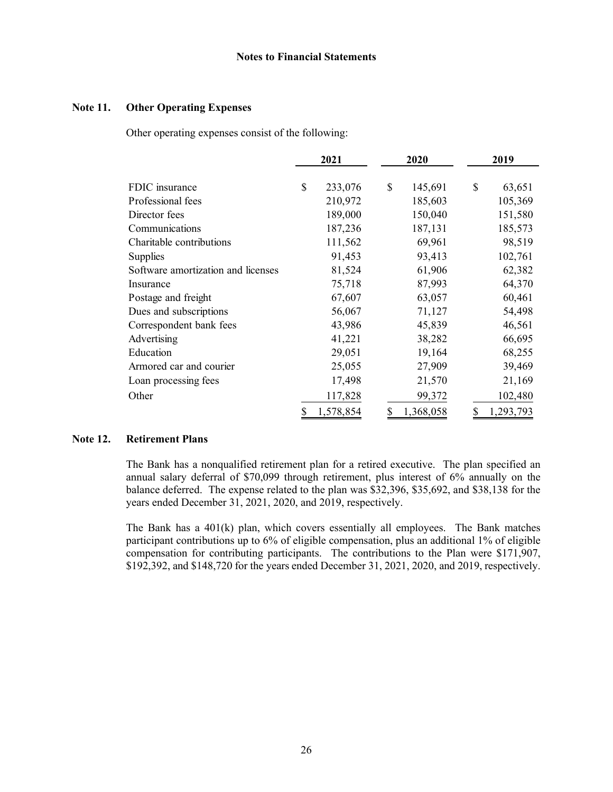#### **Note 11. Other Operating Expenses**

Other operating expenses consist of the following:

|                                    | 2021            | 2020            | 2019            |
|------------------------------------|-----------------|-----------------|-----------------|
| FDIC insurance                     | \$<br>233,076   | \$<br>145,691   | \$<br>63,651    |
| Professional fees                  | 210,972         | 185,603         | 105,369         |
| Director fees                      | 189,000         | 150,040         | 151,580         |
| Communications                     | 187,236         | 187,131         | 185,573         |
| Charitable contributions           | 111,562         | 69,961          | 98,519          |
| <b>Supplies</b>                    | 91,453          | 93,413          | 102,761         |
| Software amortization and licenses | 81,524          | 61,906          | 62,382          |
| Insurance                          | 75,718          | 87,993          | 64,370          |
| Postage and freight                | 67,607          | 63,057          | 60,461          |
| Dues and subscriptions             | 56,067          | 71,127          | 54,498          |
| Correspondent bank fees            | 43,986          | 45,839          | 46,561          |
| Advertising                        | 41,221          | 38,282          | 66,695          |
| Education                          | 29,051          | 19,164          | 68,255          |
| Armored car and courier            | 25,055          | 27,909          | 39,469          |
| Loan processing fees               | 17,498          | 21,570          | 21,169          |
| Other                              | 117,828         | 99,372          | 102,480         |
|                                    | \$<br>1,578,854 | \$<br>1,368,058 | \$<br>1,293,793 |

#### **Note 12. Retirement Plans**

The Bank has a nonqualified retirement plan for a retired executive. The plan specified an annual salary deferral of \$70,099 through retirement, plus interest of 6% annually on the balance deferred. The expense related to the plan was \$32,396, \$35,692, and \$38,138 for the years ended December 31, 2021, 2020, and 2019, respectively.

The Bank has a 401(k) plan, which covers essentially all employees. The Bank matches participant contributions up to 6% of eligible compensation, plus an additional 1% of eligible compensation for contributing participants. The contributions to the Plan were \$171,907, \$192,392, and \$148,720 for the years ended December 31, 2021, 2020, and 2019, respectively.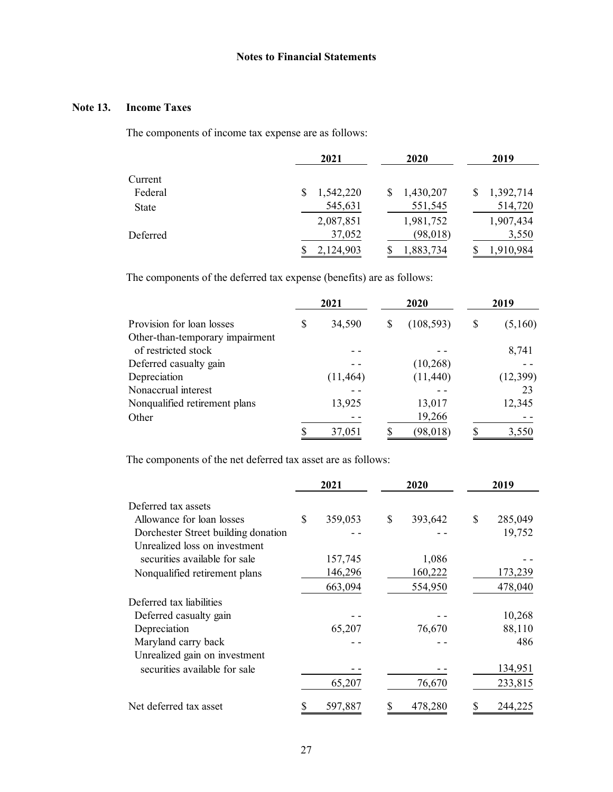## **Note 13. Income Taxes**

The components of income tax expense are as follows:

|              | 2021      | 2020      | 2019      |
|--------------|-----------|-----------|-----------|
| Current      |           |           |           |
| Federal      | 1,542,220 | 1,430,207 | 1,392,714 |
| <b>State</b> | 545,631   | 551,545   | 514,720   |
|              | 2,087,851 | 1,981,752 | 1,907,434 |
| Deferred     | 37,052    | (98, 018) | 3,550     |
|              | 2,124,903 | 1,883,734 | 1,910,984 |

The components of the deferred tax expense (benefits) are as follows:

|                                 | 2021         |   | 2020       |   | 2019      |
|---------------------------------|--------------|---|------------|---|-----------|
| Provision for loan losses       | \$<br>34,590 | S | (108, 593) | S | (5,160)   |
| Other-than-temporary impairment |              |   |            |   |           |
| of restricted stock             |              |   |            |   | 8,741     |
| Deferred casualty gain          |              |   | (10, 268)  |   |           |
| Depreciation                    | (11, 464)    |   | (11, 440)  |   | (12, 399) |
| Nonaccrual interest             |              |   |            |   | 23        |
| Nonqualified retirement plans   | 13,925       |   | 13,017     |   | 12,345    |
| Other                           |              |   | 19,266     |   |           |
|                                 | 37,051       |   | (98, 018)  |   | 3,550     |

The components of the net deferred tax asset are as follows:

|                                     | 2021          | 2020          | 2019          |
|-------------------------------------|---------------|---------------|---------------|
| Deferred tax assets                 |               |               |               |
| Allowance for loan losses           | \$<br>359,053 | \$<br>393,642 | \$<br>285,049 |
| Dorchester Street building donation |               |               | 19,752        |
| Unrealized loss on investment       |               |               |               |
| securities available for sale       | 157,745       | 1,086         |               |
| Nonqualified retirement plans       | 146,296       | 160,222       | 173,239       |
|                                     | 663,094       | 554,950       | 478,040       |
| Deferred tax liabilities            |               |               |               |
| Deferred casualty gain              |               |               | 10,268        |
| Depreciation                        | 65,207        | 76,670        | 88,110        |
| Maryland carry back                 |               |               | 486           |
| Unrealized gain on investment       |               |               |               |
| securities available for sale       |               |               | 134,951       |
|                                     | 65,207        | 76,670        | 233,815       |
| Net deferred tax asset              | 597,887       | 478,280       | 244,225       |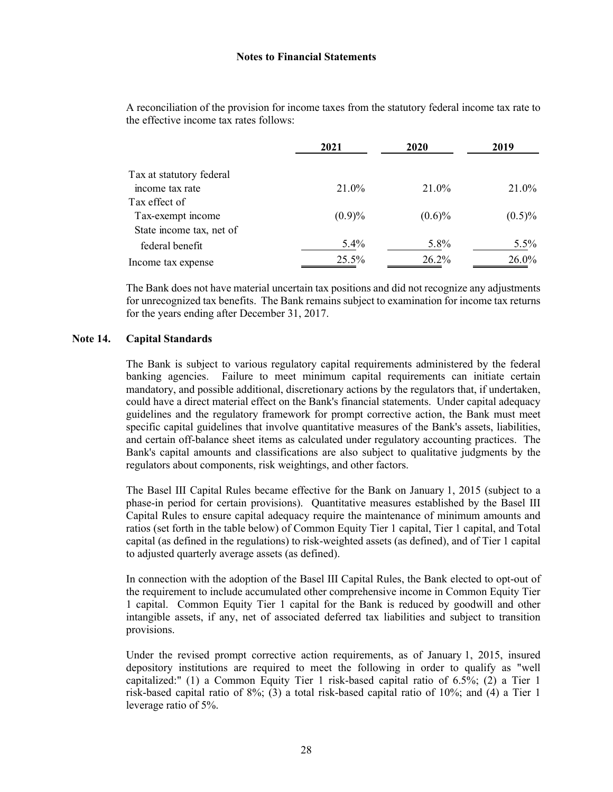|                          | 2021    | 2020      | 2019      |
|--------------------------|---------|-----------|-----------|
| Tax at statutory federal |         |           |           |
| income tax rate          | 21.0%   | 21.0%     | 21.0%     |
| Tax effect of            |         |           |           |
| Tax-exempt income        | (0.9)%  | $(0.6)\%$ | $(0.5)\%$ |
| State income tax, net of |         |           |           |
| federal benefit          | $5.4\%$ | 5.8%      | $5.5\%$   |
| Income tax expense       | 25.5%   | 26.2%     | 26.0%     |

A reconciliation of the provision for income taxes from the statutory federal income tax rate to the effective income tax rates follows:

The Bank does not have material uncertain tax positions and did not recognize any adjustments for unrecognized tax benefits. The Bank remains subject to examination for income tax returns for the years ending after December 31, 2017.

#### **Note 14. Capital Standards**

The Bank is subject to various regulatory capital requirements administered by the federal banking agencies. Failure to meet minimum capital requirements can initiate certain mandatory, and possible additional, discretionary actions by the regulators that, if undertaken, could have a direct material effect on the Bank's financial statements. Under capital adequacy guidelines and the regulatory framework for prompt corrective action, the Bank must meet specific capital guidelines that involve quantitative measures of the Bank's assets, liabilities, and certain off-balance sheet items as calculated under regulatory accounting practices. The Bank's capital amounts and classifications are also subject to qualitative judgments by the regulators about components, risk weightings, and other factors.

The Basel III Capital Rules became effective for the Bank on January 1, 2015 (subject to a phase-in period for certain provisions). Quantitative measures established by the Basel III Capital Rules to ensure capital adequacy require the maintenance of minimum amounts and ratios (set forth in the table below) of Common Equity Tier 1 capital, Tier 1 capital, and Total capital (as defined in the regulations) to risk-weighted assets (as defined), and of Tier 1 capital to adjusted quarterly average assets (as defined).

In connection with the adoption of the Basel III Capital Rules, the Bank elected to opt-out of the requirement to include accumulated other comprehensive income in Common Equity Tier 1 capital. Common Equity Tier 1 capital for the Bank is reduced by goodwill and other intangible assets, if any, net of associated deferred tax liabilities and subject to transition provisions.

Under the revised prompt corrective action requirements, as of January 1, 2015, insured depository institutions are required to meet the following in order to qualify as "well capitalized:" (1) a Common Equity Tier 1 risk-based capital ratio of 6.5%; (2) a Tier 1 risk-based capital ratio of 8%; (3) a total risk-based capital ratio of 10%; and (4) a Tier 1 leverage ratio of 5%.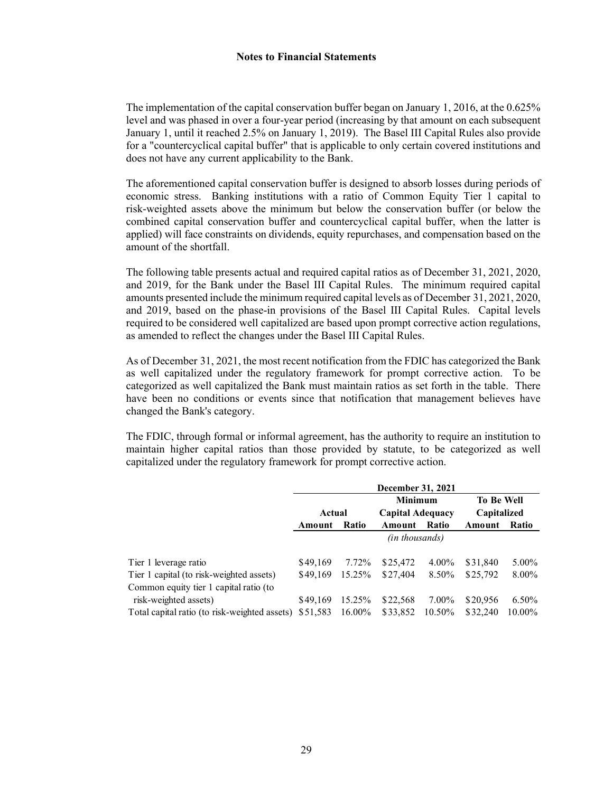The implementation of the capital conservation buffer began on January 1, 2016, at the 0.625% level and was phased in over a four-year period (increasing by that amount on each subsequent January 1, until it reached 2.5% on January 1, 2019). The Basel III Capital Rules also provide for a "countercyclical capital buffer" that is applicable to only certain covered institutions and does not have any current applicability to the Bank.

The aforementioned capital conservation buffer is designed to absorb losses during periods of economic stress. Banking institutions with a ratio of Common Equity Tier 1 capital to risk-weighted assets above the minimum but below the conservation buffer (or below the combined capital conservation buffer and countercyclical capital buffer, when the latter is applied) will face constraints on dividends, equity repurchases, and compensation based on the amount of the shortfall.

The following table presents actual and required capital ratios as of December 31, 2021, 2020, and 2019, for the Bank under the Basel III Capital Rules. The minimum required capital amounts presented include the minimum required capital levels as of December 31, 2021, 2020, and 2019, based on the phase-in provisions of the Basel III Capital Rules. Capital levels required to be considered well capitalized are based upon prompt corrective action regulations, as amended to reflect the changes under the Basel III Capital Rules.

As of December 31, 2021, the most recent notification from the FDIC has categorized the Bank as well capitalized under the regulatory framework for prompt corrective action. To be categorized as well capitalized the Bank must maintain ratios as set forth in the table. There have been no conditions or events since that notification that management believes have changed the Bank's category.

The FDIC, through formal or informal agreement, has the authority to require an institution to maintain higher capital ratios than those provided by statute, to be categorized as well capitalized under the regulatory framework for prompt corrective action.

|                                                        | <b>December 31, 2021</b> |        |                         |          |                   |          |  |
|--------------------------------------------------------|--------------------------|--------|-------------------------|----------|-------------------|----------|--|
|                                                        | <b>Minimum</b>           |        |                         |          | <b>To Be Well</b> |          |  |
|                                                        | Actual                   |        | <b>Capital Adequacy</b> |          | Capitalized       |          |  |
|                                                        | Amount                   | Ratio  | Amount                  | Ratio    | Amount            | Ratio    |  |
|                                                        | <i>(in thousands)</i>    |        |                         |          |                   |          |  |
| Tier 1 leverage ratio                                  | \$49,169                 | 7.72%  | \$25,472                | $4.00\%$ | \$31,840          | $5.00\%$ |  |
| Tier 1 capital (to risk-weighted assets)               | \$49,169                 | 15.25% | \$27,404                | 8.50%    | \$25,792          | $8.00\%$ |  |
| Common equity tier 1 capital ratio (to                 |                          |        |                         |          |                   |          |  |
| risk-weighted assets)                                  | \$49,169                 | 15.25% | \$22,568                | 7.00%    | \$20,956          | $6.50\%$ |  |
| Total capital ratio (to risk-weighted assets) \$51,583 |                          | 16.00% | \$33,852                | 10.50%   | \$32,240          | 10.00%   |  |
|                                                        |                          |        |                         |          |                   |          |  |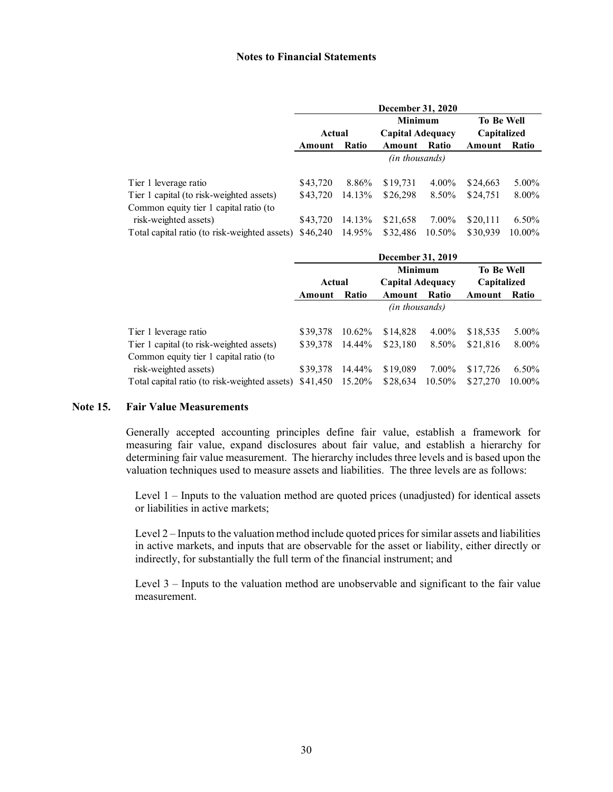|                                               | December 31, 2020     |        |                         |                   |             |           |  |
|-----------------------------------------------|-----------------------|--------|-------------------------|-------------------|-------------|-----------|--|
|                                               | <b>Minimum</b>        |        |                         | <b>To Be Well</b> |             |           |  |
|                                               | Actual                |        | <b>Capital Adequacy</b> |                   | Capitalized |           |  |
|                                               | Amount                | Ratio  | Amount                  | Ratio             | Amount      | Ratio     |  |
|                                               | <i>(in thousands)</i> |        |                         |                   |             |           |  |
| Tier 1 leverage ratio                         | \$43,720              | 8.86%  | \$19,731                | 4.00%             | \$24,663    | $5.00\%$  |  |
| Tier 1 capital (to risk-weighted assets)      | \$43,720              | 14.13% | \$26,298                | 8.50%             | \$24,751    | $8.00\%$  |  |
| Common equity tier 1 capital ratio (to        |                       |        |                         |                   |             |           |  |
| risk-weighted assets)                         | \$43,720              | 14.13% | \$21,658                | 7.00%             | \$20,111    | $6.50\%$  |  |
| Total capital ratio (to risk-weighted assets) | \$46,240              | 14.95% | \$32,486                | 10.50%            | \$30,939    | $10.00\%$ |  |

|                                                        | December 31, 2019     |        |                  |                   |             |           |
|--------------------------------------------------------|-----------------------|--------|------------------|-------------------|-------------|-----------|
|                                                        | <b>Minimum</b>        |        |                  | <b>To Be Well</b> |             |           |
|                                                        | Actual                |        | Capital Adequacy |                   | Capitalized |           |
|                                                        | Amount                | Ratio  | Amount           | Ratio             | Amount      | Ratio     |
|                                                        | <i>(in thousands)</i> |        |                  |                   |             |           |
| Tier 1 leverage ratio                                  | \$39,378              | 10.62% | \$14,828         | 4.00%             | \$18,535    | $5.00\%$  |
| Tier 1 capital (to risk-weighted assets)               | \$39,378              | 14.44% | \$23,180         | 8.50%             | \$21,816    | 8.00%     |
| Common equity tier 1 capital ratio (to                 |                       |        |                  |                   |             |           |
| risk-weighted assets)                                  | \$39,378              | 14.44% | \$19,089         | 7.00%             | \$17,726    | 6.50%     |
| Total capital ratio (to risk-weighted assets) \$41,450 |                       | 15.20% | \$28,634         | 10.50%            | \$27,270    | $10.00\%$ |

### **Note 15. Fair Value Measurements**

Generally accepted accounting principles define fair value, establish a framework for measuring fair value, expand disclosures about fair value, and establish a hierarchy for determining fair value measurement. The hierarchy includes three levels and is based upon the valuation techniques used to measure assets and liabilities. The three levels are as follows:

Level 1 – Inputs to the valuation method are quoted prices (unadjusted) for identical assets or liabilities in active markets;

Level 2 – Inputs to the valuation method include quoted prices for similar assets and liabilities in active markets, and inputs that are observable for the asset or liability, either directly or indirectly, for substantially the full term of the financial instrument; and

Level 3 – Inputs to the valuation method are unobservable and significant to the fair value measurement.